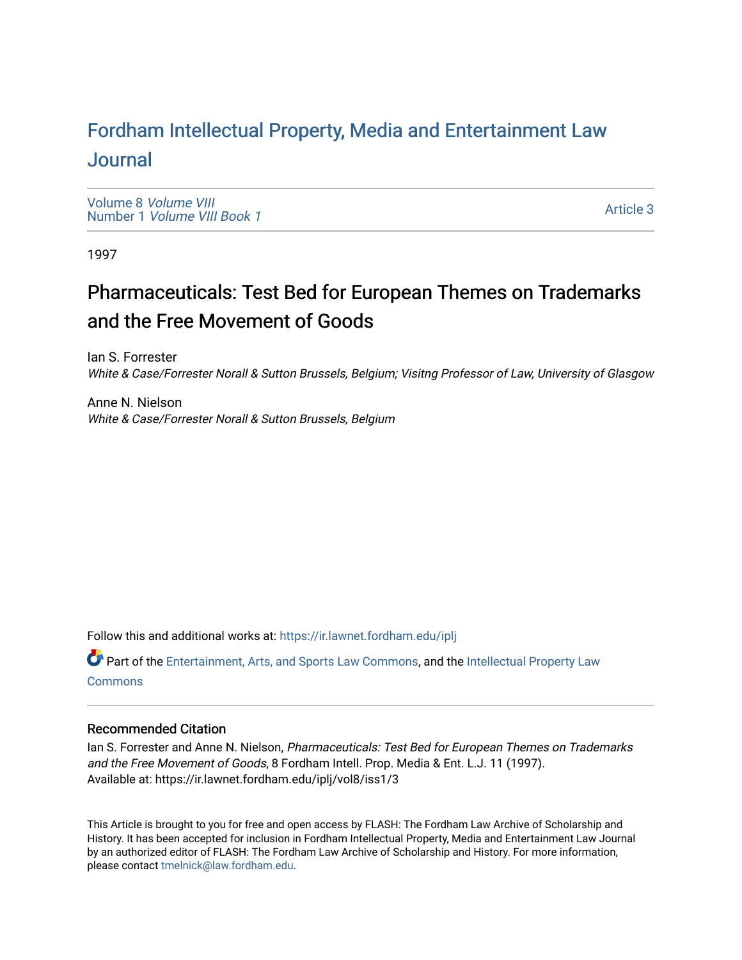# For[dham Intellectual Property, Media and Enter](https://ir.lawnet.fordham.edu/iplj)tainment Law [Journal](https://ir.lawnet.fordham.edu/iplj)

[Volume 8](https://ir.lawnet.fordham.edu/iplj/vol8) Volume VIII Number 1 [Volume VIII Book 1](https://ir.lawnet.fordham.edu/iplj/vol8/iss1)

[Article 3](https://ir.lawnet.fordham.edu/iplj/vol8/iss1/3) 

1997

# Pharmaceuticals: Test Bed for European Themes on Trademarks and the Free Movement of Goods

Ian S. Forrester White & Case/Forrester Norall & Sutton Brussels, Belgium; Visitng Professor of Law, University of Glasgow

Anne N. Nielson White & Case/Forrester Norall & Sutton Brussels, Belgium

Follow this and additional works at: [https://ir.lawnet.fordham.edu/iplj](https://ir.lawnet.fordham.edu/iplj?utm_source=ir.lawnet.fordham.edu%2Fiplj%2Fvol8%2Fiss1%2F3&utm_medium=PDF&utm_campaign=PDFCoverPages) 

Part of the [Entertainment, Arts, and Sports Law Commons](http://network.bepress.com/hgg/discipline/893?utm_source=ir.lawnet.fordham.edu%2Fiplj%2Fvol8%2Fiss1%2F3&utm_medium=PDF&utm_campaign=PDFCoverPages), and the [Intellectual Property Law](http://network.bepress.com/hgg/discipline/896?utm_source=ir.lawnet.fordham.edu%2Fiplj%2Fvol8%2Fiss1%2F3&utm_medium=PDF&utm_campaign=PDFCoverPages) **[Commons](http://network.bepress.com/hgg/discipline/896?utm_source=ir.lawnet.fordham.edu%2Fiplj%2Fvol8%2Fiss1%2F3&utm_medium=PDF&utm_campaign=PDFCoverPages)** 

# Recommended Citation

Ian S. Forrester and Anne N. Nielson, Pharmaceuticals: Test Bed for European Themes on Trademarks and the Free Movement of Goods, 8 Fordham Intell. Prop. Media & Ent. L.J. 11 (1997). Available at: https://ir.lawnet.fordham.edu/iplj/vol8/iss1/3

This Article is brought to you for free and open access by FLASH: The Fordham Law Archive of Scholarship and History. It has been accepted for inclusion in Fordham Intellectual Property, Media and Entertainment Law Journal by an authorized editor of FLASH: The Fordham Law Archive of Scholarship and History. For more information, please contact [tmelnick@law.fordham.edu](mailto:tmelnick@law.fordham.edu).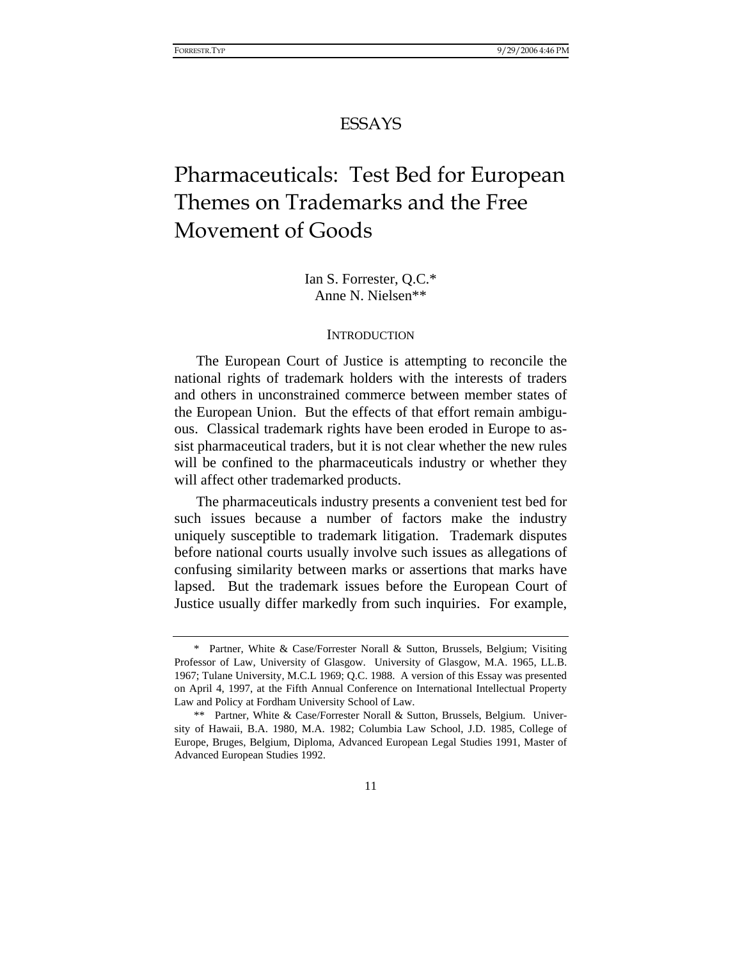# ESSAYS

# Pharmaceuticals: Test Bed for European Themes on Trademarks and the Free Movement of Goods

Ian S. Forrester, Q.C.\* Anne N. Nielsen\*\*

#### **INTRODUCTION**

The European Court of Justice is attempting to reconcile the national rights of trademark holders with the interests of traders and others in unconstrained commerce between member states of the European Union. But the effects of that effort remain ambiguous. Classical trademark rights have been eroded in Europe to assist pharmaceutical traders, but it is not clear whether the new rules will be confined to the pharmaceuticals industry or whether they will affect other trademarked products.

The pharmaceuticals industry presents a convenient test bed for such issues because a number of factors make the industry uniquely susceptible to trademark litigation. Trademark disputes before national courts usually involve such issues as allegations of confusing similarity between marks or assertions that marks have lapsed. But the trademark issues before the European Court of Justice usually differ markedly from such inquiries. For example,

<sup>\*</sup> Partner, White & Case/Forrester Norall & Sutton, Brussels, Belgium; Visiting Professor of Law, University of Glasgow. University of Glasgow, M.A. 1965, LL.B. 1967; Tulane University, M.C.L 1969; Q.C. 1988. A version of this Essay was presented on April 4, 1997, at the Fifth Annual Conference on International Intellectual Property Law and Policy at Fordham University School of Law.

<sup>\*\*</sup> Partner, White & Case/Forrester Norall & Sutton, Brussels, Belgium. University of Hawaii, B.A. 1980, M.A. 1982; Columbia Law School, J.D. 1985, College of Europe, Bruges, Belgium, Diploma, Advanced European Legal Studies 1991, Master of Advanced European Studies 1992.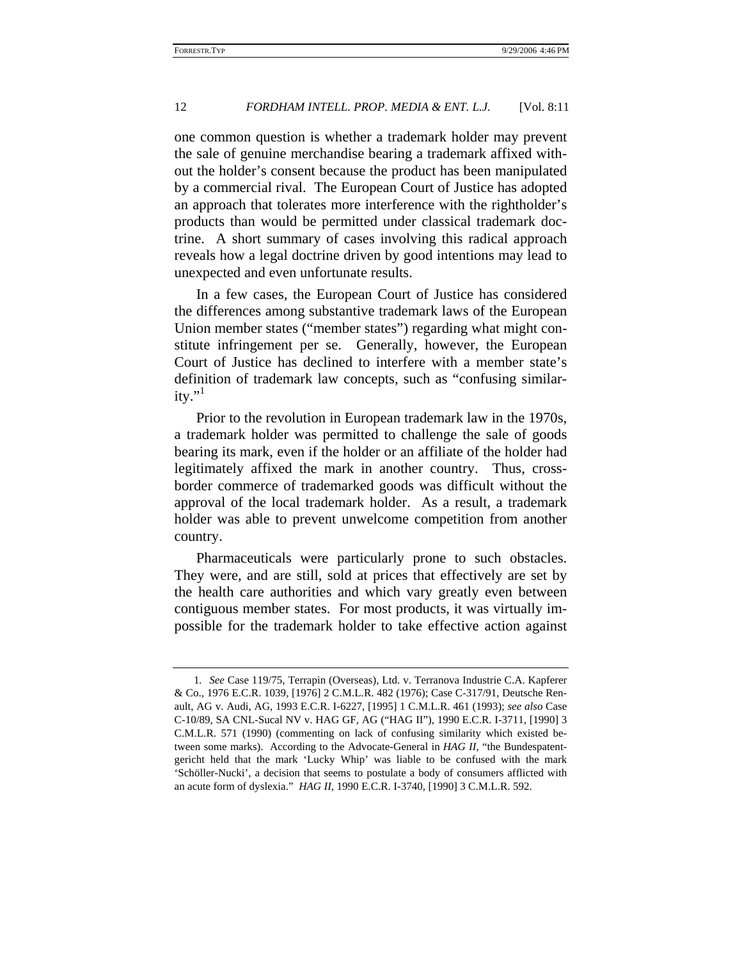one common question is whether a trademark holder may prevent the sale of genuine merchandise bearing a trademark affixed without the holder's consent because the product has been manipulated by a commercial rival. The European Court of Justice has adopted an approach that tolerates more interference with the rightholder's products than would be permitted under classical trademark doctrine. A short summary of cases involving this radical approach reveals how a legal doctrine driven by good intentions may lead to unexpected and even unfortunate results.

In a few cases, the European Court of Justice has considered the differences among substantive trademark laws of the European Union member states ("member states") regarding what might constitute infringement per se. Generally, however, the European Court of Justice has declined to interfere with a member state's definition of trademark law concepts, such as "confusing similar $itv.$ <sup>"1</sup>

Prior to the revolution in European trademark law in the 1970s, a trademark holder was permitted to challenge the sale of goods bearing its mark, even if the holder or an affiliate of the holder had legitimately affixed the mark in another country. Thus, crossborder commerce of trademarked goods was difficult without the approval of the local trademark holder. As a result, a trademark holder was able to prevent unwelcome competition from another country.

Pharmaceuticals were particularly prone to such obstacles. They were, and are still, sold at prices that effectively are set by the health care authorities and which vary greatly even between contiguous member states. For most products, it was virtually impossible for the trademark holder to take effective action against

<sup>1</sup>*. See* Case 119/75, Terrapin (Overseas), Ltd. v. Terranova Industrie C.A. Kapferer & Co., 1976 E.C.R. 1039, [1976] 2 C.M.L.R. 482 (1976); Case C-317/91, Deutsche Renault, AG v. Audi, AG, 1993 E.C.R. I-6227, [1995] 1 C.M.L.R. 461 (1993); *see also* Case C-10/89, SA CNL-Sucal NV v. HAG GF, AG ("HAG II"), 1990 E.C.R. I-3711, [1990] 3 C.M.L.R. 571 (1990) (commenting on lack of confusing similarity which existed between some marks). According to the Advocate-General in *HAG II*, "the Bundespatentgericht held that the mark 'Lucky Whip' was liable to be confused with the mark 'Schöller-Nucki', a decision that seems to postulate a body of consumers afflicted with an acute form of dyslexia." *HAG II*, 1990 E.C.R. I-3740, [1990] 3 C.M.L.R. 592.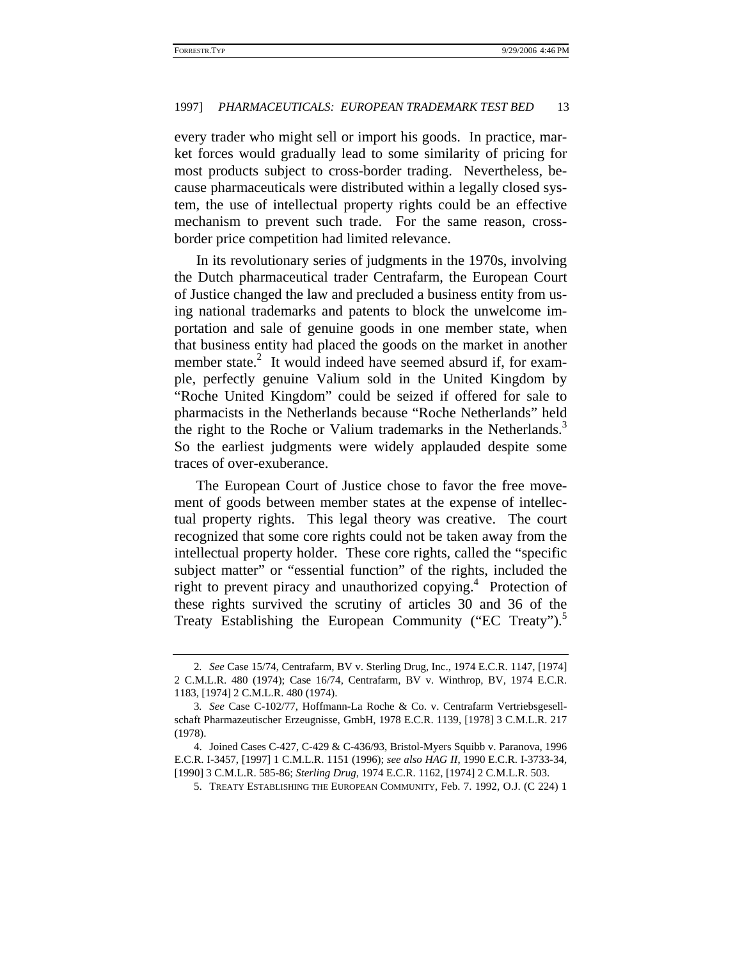every trader who might sell or import his goods. In practice, market forces would gradually lead to some similarity of pricing for most products subject to cross-border trading. Nevertheless, because pharmaceuticals were distributed within a legally closed system, the use of intellectual property rights could be an effective mechanism to prevent such trade. For the same reason, crossborder price competition had limited relevance.

In its revolutionary series of judgments in the 1970s, involving the Dutch pharmaceutical trader Centrafarm, the European Court of Justice changed the law and precluded a business entity from using national trademarks and patents to block the unwelcome importation and sale of genuine goods in one member state, when that business entity had placed the goods on the market in another member state.<sup>2</sup> It would indeed have seemed absurd if, for example, perfectly genuine Valium sold in the United Kingdom by "Roche United Kingdom" could be seized if offered for sale to pharmacists in the Netherlands because "Roche Netherlands" held the right to the Roche or Valium trademarks in the Netherlands.<sup>3</sup> So the earliest judgments were widely applauded despite some traces of over-exuberance.

The European Court of Justice chose to favor the free movement of goods between member states at the expense of intellectual property rights. This legal theory was creative. The court recognized that some core rights could not be taken away from the intellectual property holder. These core rights, called the "specific subject matter" or "essential function" of the rights, included the right to prevent piracy and unauthorized copying.<sup>4</sup> Protection of these rights survived the scrutiny of articles 30 and 36 of the Treaty Establishing the European Community ("EC Treaty").<sup>5</sup>

<sup>2</sup>*. See* Case 15/74, Centrafarm, BV v. Sterling Drug, Inc., 1974 E.C.R. 1147, [1974] 2 C.M.L.R. 480 (1974); Case 16/74, Centrafarm, BV v. Winthrop, BV, 1974 E.C.R. 1183, [1974] 2 C.M.L.R. 480 (1974).

<sup>3</sup>*. See* Case C-102/77, Hoffmann-La Roche & Co. v. Centrafarm Vertriebsgesellschaft Pharmazeutischer Erzeugnisse, GmbH, 1978 E.C.R. 1139, [1978] 3 C.M.L.R. 217 (1978).

<sup>4.</sup> Joined Cases C-427, C-429 & C-436/93, Bristol-Myers Squibb v. Paranova, 1996 E.C.R. I-3457, [1997] 1 C.M.L.R. 1151 (1996); *see also HAG II*, 1990 E.C.R. I-3733-34, [1990] 3 C.M.L.R. 585-86; *Sterling Drug*, 1974 E.C.R. 1162, [1974] 2 C.M.L.R. 503.

<sup>5.</sup> TREATY ESTABLISHING THE EUROPEAN COMMUNITY, Feb. 7. 1992, O.J. (C 224) 1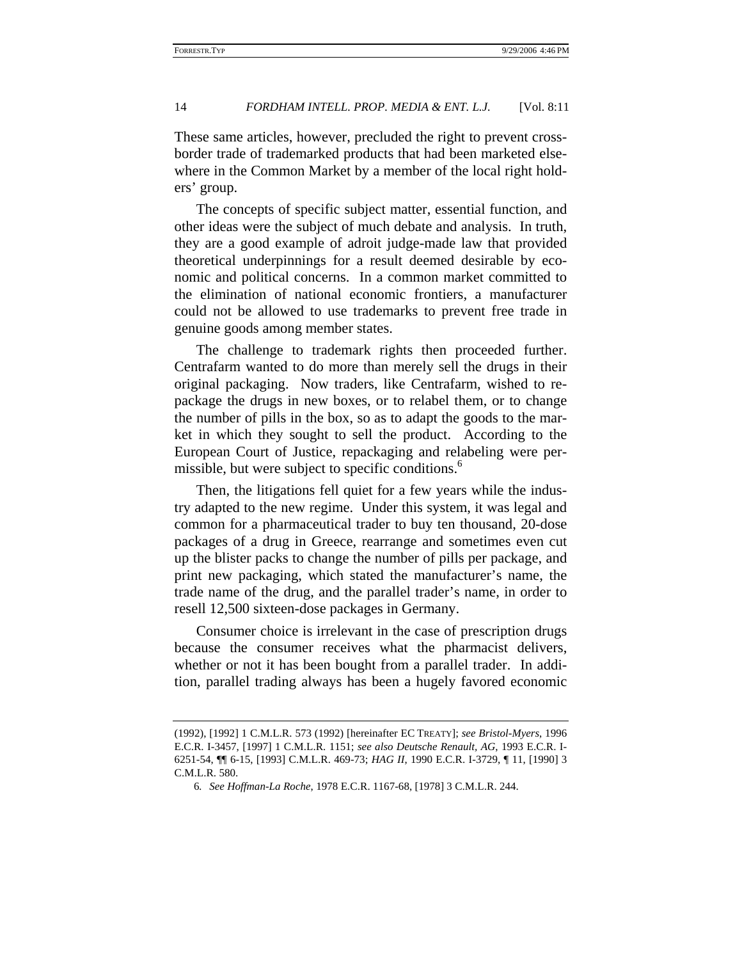These same articles, however, precluded the right to prevent crossborder trade of trademarked products that had been marketed elsewhere in the Common Market by a member of the local right holders' group.

The concepts of specific subject matter, essential function, and other ideas were the subject of much debate and analysis. In truth, they are a good example of adroit judge-made law that provided theoretical underpinnings for a result deemed desirable by economic and political concerns. In a common market committed to the elimination of national economic frontiers, a manufacturer could not be allowed to use trademarks to prevent free trade in genuine goods among member states.

The challenge to trademark rights then proceeded further. Centrafarm wanted to do more than merely sell the drugs in their original packaging. Now traders, like Centrafarm, wished to repackage the drugs in new boxes, or to relabel them, or to change the number of pills in the box, so as to adapt the goods to the market in which they sought to sell the product. According to the European Court of Justice, repackaging and relabeling were permissible, but were subject to specific conditions.<sup>6</sup>

Then, the litigations fell quiet for a few years while the industry adapted to the new regime. Under this system, it was legal and common for a pharmaceutical trader to buy ten thousand, 20-dose packages of a drug in Greece, rearrange and sometimes even cut up the blister packs to change the number of pills per package, and print new packaging, which stated the manufacturer's name, the trade name of the drug, and the parallel trader's name, in order to resell 12,500 sixteen-dose packages in Germany.

Consumer choice is irrelevant in the case of prescription drugs because the consumer receives what the pharmacist delivers, whether or not it has been bought from a parallel trader. In addition, parallel trading always has been a hugely favored economic

<sup>(1992), [1992] 1</sup> C.M.L.R. 573 (1992) [hereinafter EC TREATY]; *see Bristol-Myers*, 1996 E.C.R. I-3457, [1997] 1 C.M.L.R. 1151; *see also Deutsche Renault, AG*, 1993 E.C.R. I-6251-54, ¶¶ 6-15, [1993] C.M.L.R. 469-73; *HAG II*, 1990 E.C.R. I-3729, ¶ 11, [1990] 3 C.M.L.R. 580.

<sup>6</sup>*. See Hoffman-La Roche*, 1978 E.C.R. 1167-68, [1978] 3 C.M.L.R. 244.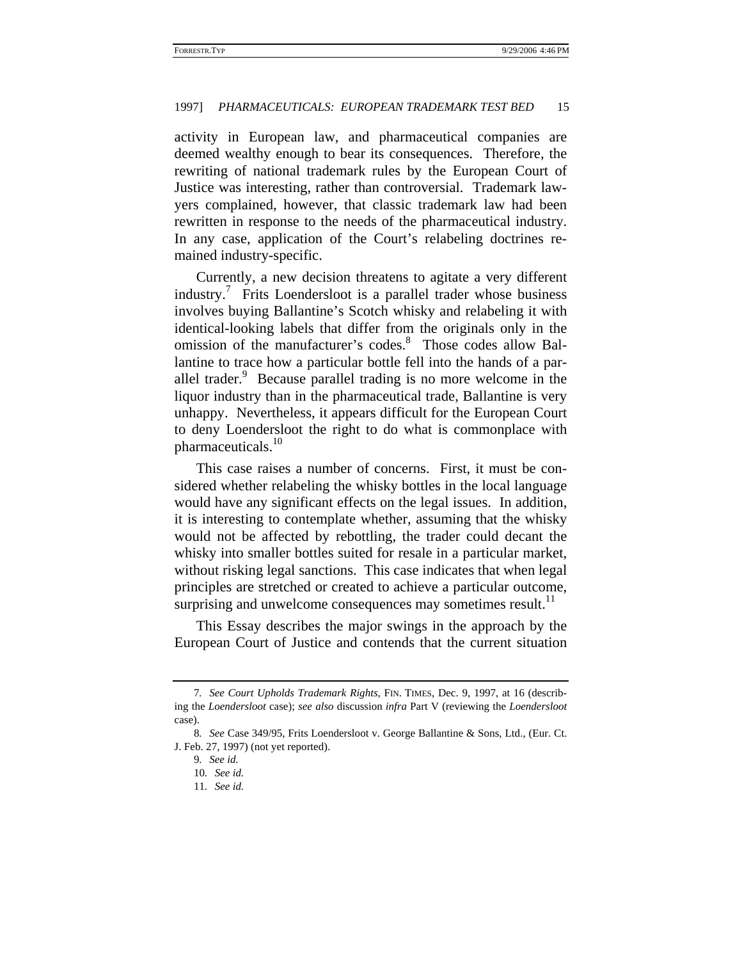activity in European law, and pharmaceutical companies are deemed wealthy enough to bear its consequences. Therefore, the rewriting of national trademark rules by the European Court of Justice was interesting, rather than controversial. Trademark lawyers complained, however, that classic trademark law had been rewritten in response to the needs of the pharmaceutical industry. In any case, application of the Court's relabeling doctrines remained industry-specific.

Currently, a new decision threatens to agitate a very different industry.<sup>7</sup> Frits Loendersloot is a parallel trader whose business involves buying Ballantine's Scotch whisky and relabeling it with identical-looking labels that differ from the originals only in the omission of the manufacturer's codes.<sup>8</sup> Those codes allow Ballantine to trace how a particular bottle fell into the hands of a parallel trader.<sup>9</sup> Because parallel trading is no more welcome in the liquor industry than in the pharmaceutical trade, Ballantine is very unhappy. Nevertheless, it appears difficult for the European Court to deny Loendersloot the right to do what is commonplace with pharmaceuticals.<sup>10</sup>

This case raises a number of concerns. First, it must be considered whether relabeling the whisky bottles in the local language would have any significant effects on the legal issues. In addition, it is interesting to contemplate whether, assuming that the whisky would not be affected by rebottling, the trader could decant the whisky into smaller bottles suited for resale in a particular market, without risking legal sanctions. This case indicates that when legal principles are stretched or created to achieve a particular outcome, surprising and unwelcome consequences may sometimes result.<sup>11</sup>

This Essay describes the major swings in the approach by the European Court of Justice and contends that the current situation

<sup>7</sup>*. See Court Upholds Trademark Rights*, FIN. TIMES, Dec. 9, 1997, at 16 (describing the *Loendersloot* case); *see also* discussion *infra* Part V (reviewing the *Loendersloot* case).

<sup>8</sup>*. See* Case 349/95, Frits Loendersloot v. George Ballantine & Sons, Ltd., (Eur. Ct. J. Feb. 27, 1997) (not yet reported).

<sup>9</sup>*. See id.*

<sup>10</sup>*. See id.*

<sup>11</sup>*. See id.*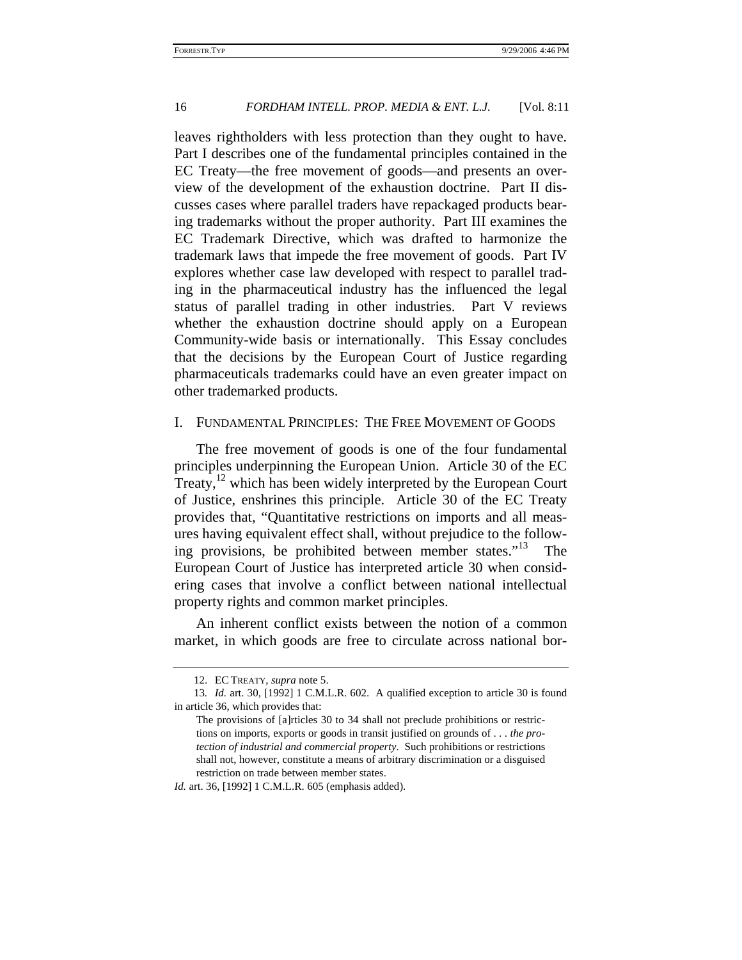leaves rightholders with less protection than they ought to have. Part I describes one of the fundamental principles contained in the EC Treaty—the free movement of goods—and presents an overview of the development of the exhaustion doctrine. Part II discusses cases where parallel traders have repackaged products bearing trademarks without the proper authority. Part III examines the EC Trademark Directive, which was drafted to harmonize the trademark laws that impede the free movement of goods. Part IV explores whether case law developed with respect to parallel trading in the pharmaceutical industry has the influenced the legal status of parallel trading in other industries. Part V reviews whether the exhaustion doctrine should apply on a European Community-wide basis or internationally. This Essay concludes that the decisions by the European Court of Justice regarding pharmaceuticals trademarks could have an even greater impact on other trademarked products.

### I. FUNDAMENTAL PRINCIPLES: THE FREE MOVEMENT OF GOODS

The free movement of goods is one of the four fundamental principles underpinning the European Union. Article 30 of the EC Treaty, $12$  which has been widely interpreted by the European Court of Justice, enshrines this principle. Article 30 of the EC Treaty provides that, "Quantitative restrictions on imports and all measures having equivalent effect shall, without prejudice to the following provisions, be prohibited between member states."13 The European Court of Justice has interpreted article 30 when considering cases that involve a conflict between national intellectual property rights and common market principles.

An inherent conflict exists between the notion of a common market, in which goods are free to circulate across national bor-

*Id.* art. 36, [1992] 1 C.M.L.R. 605 (emphasis added).

<sup>12.</sup> EC TREATY, *supra* note 5.

<sup>13</sup>*. Id.* art. 30, [1992] 1 C.M.L.R. 602. A qualified exception to article 30 is found in article 36, which provides that:

The provisions of [a]rticles 30 to 34 shall not preclude prohibitions or restrictions on imports, exports or goods in transit justified on grounds of . . . *the protection of industrial and commercial property*. Such prohibitions or restrictions shall not, however, constitute a means of arbitrary discrimination or a disguised restriction on trade between member states.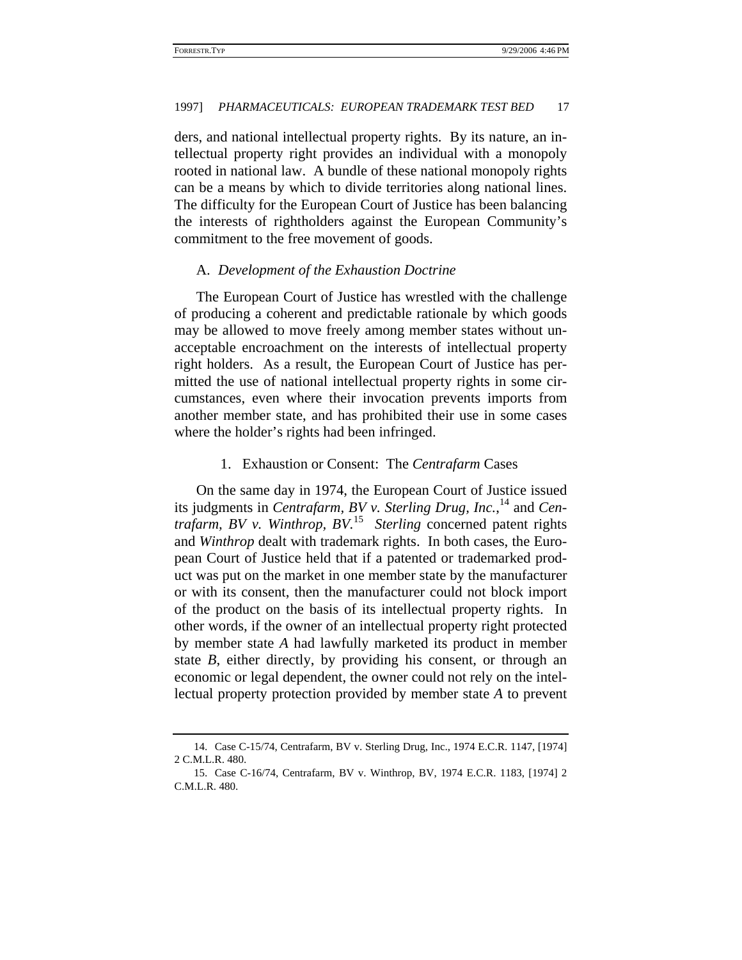ders, and national intellectual property rights. By its nature, an intellectual property right provides an individual with a monopoly rooted in national law. A bundle of these national monopoly rights can be a means by which to divide territories along national lines. The difficulty for the European Court of Justice has been balancing the interests of rightholders against the European Community's commitment to the free movement of goods.

#### A. *Development of the Exhaustion Doctrine*

The European Court of Justice has wrestled with the challenge of producing a coherent and predictable rationale by which goods may be allowed to move freely among member states without unacceptable encroachment on the interests of intellectual property right holders. As a result, the European Court of Justice has permitted the use of national intellectual property rights in some circumstances, even where their invocation prevents imports from another member state, and has prohibited their use in some cases where the holder's rights had been infringed.

#### 1. Exhaustion or Consent: The *Centrafarm* Cases

On the same day in 1974, the European Court of Justice issued its judgments in *Centrafarm, BV v. Sterling Drug, Inc.*, 14 and *Centrafarm, BV v. Winthrop, BV.*15 *Sterling* concerned patent rights and *Winthrop* dealt with trademark rights. In both cases, the European Court of Justice held that if a patented or trademarked product was put on the market in one member state by the manufacturer or with its consent, then the manufacturer could not block import of the product on the basis of its intellectual property rights. In other words, if the owner of an intellectual property right protected by member state *A* had lawfully marketed its product in member state *B*, either directly, by providing his consent, or through an economic or legal dependent, the owner could not rely on the intellectual property protection provided by member state *A* to prevent

<sup>14.</sup> Case C-15/74, Centrafarm, BV v. Sterling Drug, Inc., 1974 E.C.R. 1147, [1974] 2 C.M.L.R. 480.

<sup>15.</sup> Case C-16/74, Centrafarm, BV v. Winthrop, BV, 1974 E.C.R. 1183, [1974] 2 C.M.L.R. 480.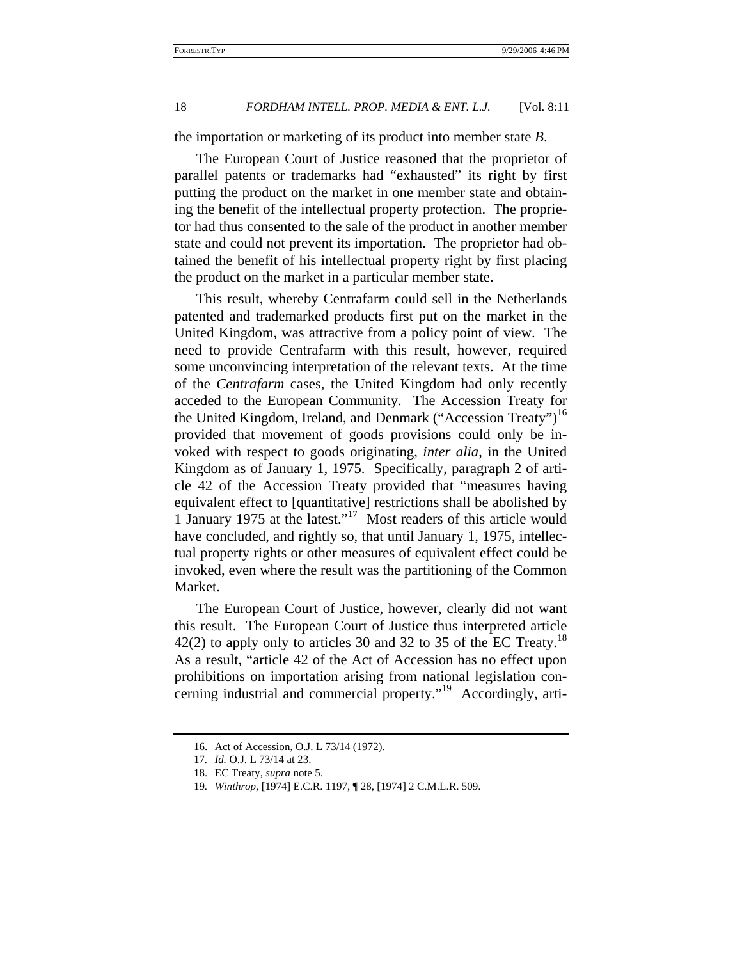the importation or marketing of its product into member state *B*.

The European Court of Justice reasoned that the proprietor of parallel patents or trademarks had "exhausted" its right by first putting the product on the market in one member state and obtaining the benefit of the intellectual property protection. The proprietor had thus consented to the sale of the product in another member state and could not prevent its importation. The proprietor had obtained the benefit of his intellectual property right by first placing the product on the market in a particular member state.

This result, whereby Centrafarm could sell in the Netherlands patented and trademarked products first put on the market in the United Kingdom, was attractive from a policy point of view. The need to provide Centrafarm with this result, however, required some unconvincing interpretation of the relevant texts. At the time of the *Centrafarm* cases, the United Kingdom had only recently acceded to the European Community. The Accession Treaty for the United Kingdom, Ireland, and Denmark ("Accession Treaty")<sup>16</sup> provided that movement of goods provisions could only be invoked with respect to goods originating, *inter alia*, in the United Kingdom as of January 1, 1975. Specifically, paragraph 2 of article 42 of the Accession Treaty provided that "measures having equivalent effect to [quantitative] restrictions shall be abolished by 1 January 1975 at the latest."17 Most readers of this article would have concluded, and rightly so, that until January 1, 1975, intellectual property rights or other measures of equivalent effect could be invoked, even where the result was the partitioning of the Common Market.

The European Court of Justice, however, clearly did not want this result. The European Court of Justice thus interpreted article  $42(2)$  to apply only to articles 30 and 32 to 35 of the EC Treaty.<sup>18</sup> As a result, "article 42 of the Act of Accession has no effect upon prohibitions on importation arising from national legislation concerning industrial and commercial property."<sup>19</sup> Accordingly, arti-

<sup>16.</sup> Act of Accession, O.J. L 73/14 (1972).

<sup>17</sup>*. Id.* O.J. L 73/14 at 23.

<sup>18.</sup> EC Treaty, *supra* note 5.

<sup>19</sup>*. Winthrop*, [1974] E.C.R. 1197, ¶ 28, [1974] 2 C.M.L.R. 509.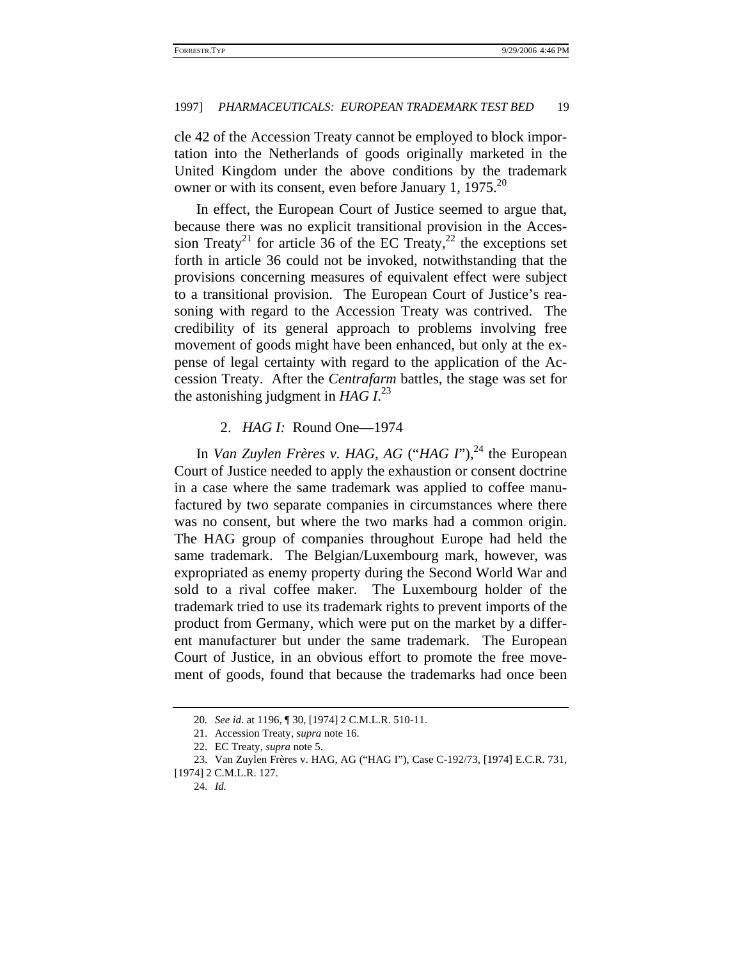cle 42 of the Accession Treaty cannot be employed to block importation into the Netherlands of goods originally marketed in the United Kingdom under the above conditions by the trademark owner or with its consent, even before January 1,  $1975$ <sup>20</sup>

In effect, the European Court of Justice seemed to argue that, because there was no explicit transitional provision in the Accession Treaty<sup>21</sup> for article 36 of the EC Treaty,<sup>22</sup> the exceptions set forth in article 36 could not be invoked, notwithstanding that the provisions concerning measures of equivalent effect were subject to a transitional provision. The European Court of Justice's reasoning with regard to the Accession Treaty was contrived. The credibility of its general approach to problems involving free movement of goods might have been enhanced, but only at the expense of legal certainty with regard to the application of the Accession Treaty. After the *Centrafarm* battles, the stage was set for the astonishing judgment in  $HAG$   $I^{23}$ 

### 2. *HAG I:* Round One—1974

In *Van Zuylen Frères v. HAG, AG* ("*HAG I*"),<sup>24</sup> the European Court of Justice needed to apply the exhaustion or consent doctrine in a case where the same trademark was applied to coffee manufactured by two separate companies in circumstances where there was no consent, but where the two marks had a common origin. The HAG group of companies throughout Europe had held the same trademark. The Belgian/Luxembourg mark, however, was expropriated as enemy property during the Second World War and sold to a rival coffee maker. The Luxembourg holder of the trademark tried to use its trademark rights to prevent imports of the product from Germany, which were put on the market by a different manufacturer but under the same trademark. The European Court of Justice, in an obvious effort to promote the free movement of goods, found that because the trademarks had once been

<sup>20</sup>*. See id*. at 1196, ¶ 30, [1974] 2 C.M.L.R. 510-11.

<sup>21.</sup> Accession Treaty, *supra* note 16.

<sup>22.</sup> EC Treaty, *supra* note 5.

<sup>23.</sup> Van Zuylen Frères v. HAG, AG ("HAG I"), Case C-192/73, [1974] E.C.R. 731,

<sup>[1974] 2</sup> C.M.L.R. 127.

<sup>24.</sup> *Id.*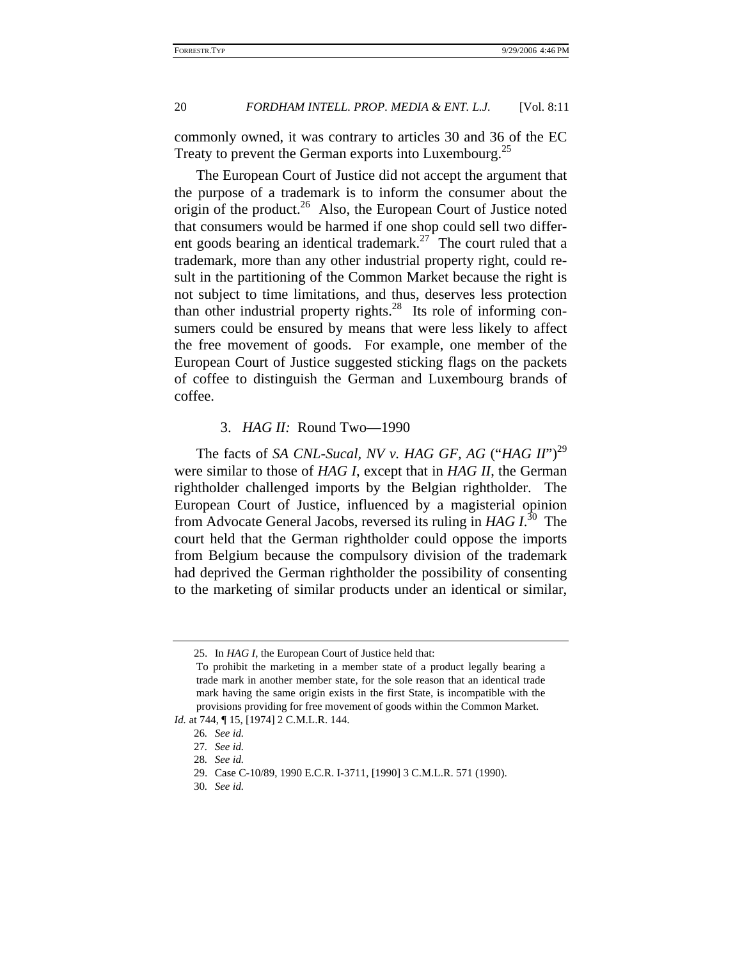commonly owned, it was contrary to articles 30 and 36 of the EC Treaty to prevent the German exports into Luxembourg.<sup>25</sup>

The European Court of Justice did not accept the argument that the purpose of a trademark is to inform the consumer about the origin of the product.<sup>26</sup> Also, the European Court of Justice noted that consumers would be harmed if one shop could sell two different goods bearing an identical trademark.<sup>27</sup> The court ruled that a trademark, more than any other industrial property right, could result in the partitioning of the Common Market because the right is not subject to time limitations, and thus, deserves less protection than other industrial property rights. $28$  Its role of informing consumers could be ensured by means that were less likely to affect the free movement of goods. For example, one member of the European Court of Justice suggested sticking flags on the packets of coffee to distinguish the German and Luxembourg brands of coffee.

## 3. *HAG II:* Round Two—1990

The facts of *SA CNL-Sucal, NV v. HAG GF, AG* ("*HAG II*")<sup>29</sup> were similar to those of *HAG I*, except that in *HAG II*, the German rightholder challenged imports by the Belgian rightholder. The European Court of Justice, influenced by a magisterial opinion from Advocate General Jacobs, reversed its ruling in *HAG I*. 30 The court held that the German rightholder could oppose the imports from Belgium because the compulsory division of the trademark had deprived the German rightholder the possibility of consenting to the marketing of similar products under an identical or similar,

<sup>25.</sup> In *HAG I*, the European Court of Justice held that:

To prohibit the marketing in a member state of a product legally bearing a trade mark in another member state, for the sole reason that an identical trade mark having the same origin exists in the first State, is incompatible with the provisions providing for free movement of goods within the Common Market.

*Id.* at 744,  $\P$  15, [1974] 2 C.M.L.R. 144.

<sup>26</sup>*. See id.*

<sup>27</sup>*. See id.*

<sup>28</sup>*. See id.*

<sup>29.</sup> Case C-10/89, 1990 E.C.R. I-3711, [1990] 3 C.M.L.R. 571 (1990).

<sup>30</sup>*. See id.*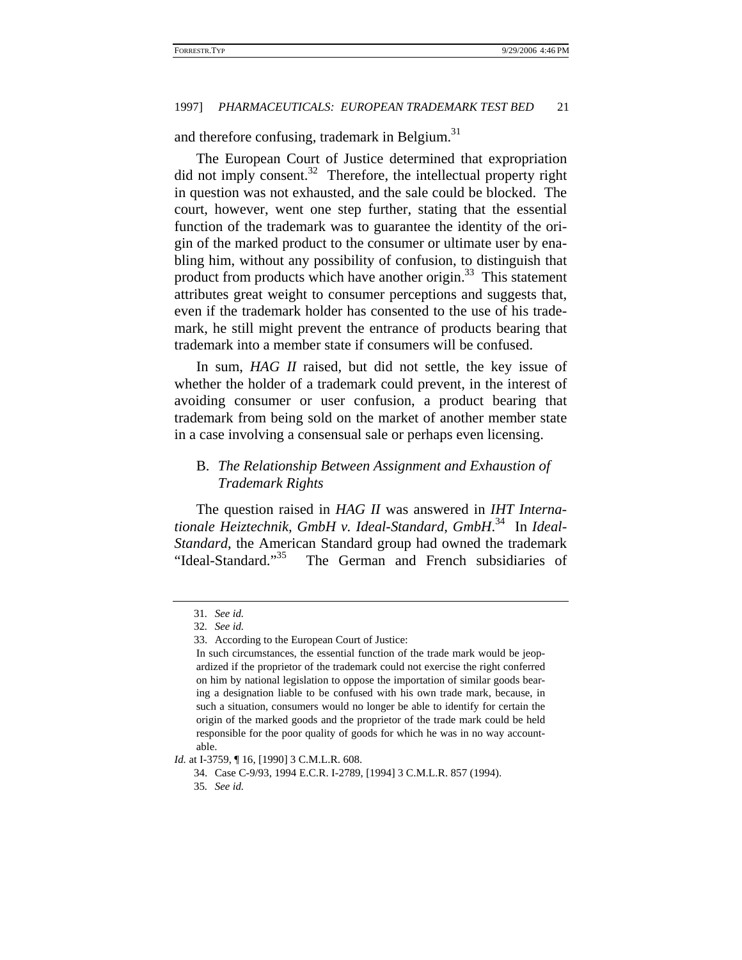and therefore confusing, trademark in Belgium.<sup>31</sup>

The European Court of Justice determined that expropriation did not imply consent.<sup>32</sup> Therefore, the intellectual property right in question was not exhausted, and the sale could be blocked. The court, however, went one step further, stating that the essential function of the trademark was to guarantee the identity of the origin of the marked product to the consumer or ultimate user by enabling him, without any possibility of confusion, to distinguish that product from products which have another origin.<sup>33</sup> This statement attributes great weight to consumer perceptions and suggests that, even if the trademark holder has consented to the use of his trademark, he still might prevent the entrance of products bearing that trademark into a member state if consumers will be confused.

In sum, *HAG II* raised, but did not settle, the key issue of whether the holder of a trademark could prevent, in the interest of avoiding consumer or user confusion, a product bearing that trademark from being sold on the market of another member state in a case involving a consensual sale or perhaps even licensing.

# B. *The Relationship Between Assignment and Exhaustion of Trademark Rights*

The question raised in *HAG II* was answered in *IHT Internationale Heiztechnik, GmbH v. Ideal-Standard, GmbH*. 34 In *Ideal-Standard*, the American Standard group had owned the trademark "Ideal-Standard."<sup>35</sup> The German and French subsidiaries of

*Id.* at I-3759,  $\P$  16, [1990] 3 C.M.L.R. 608.

<sup>31</sup>*. See id.*

<sup>32</sup>*. See id.*

<sup>33.</sup> According to the European Court of Justice:

In such circumstances, the essential function of the trade mark would be jeopardized if the proprietor of the trademark could not exercise the right conferred on him by national legislation to oppose the importation of similar goods bearing a designation liable to be confused with his own trade mark, because, in such a situation, consumers would no longer be able to identify for certain the origin of the marked goods and the proprietor of the trade mark could be held responsible for the poor quality of goods for which he was in no way accountable.

<sup>34.</sup> Case C-9/93, 1994 E.C.R. I-2789, [1994] 3 C.M.L.R. 857 (1994).

<sup>35</sup>*. See id.*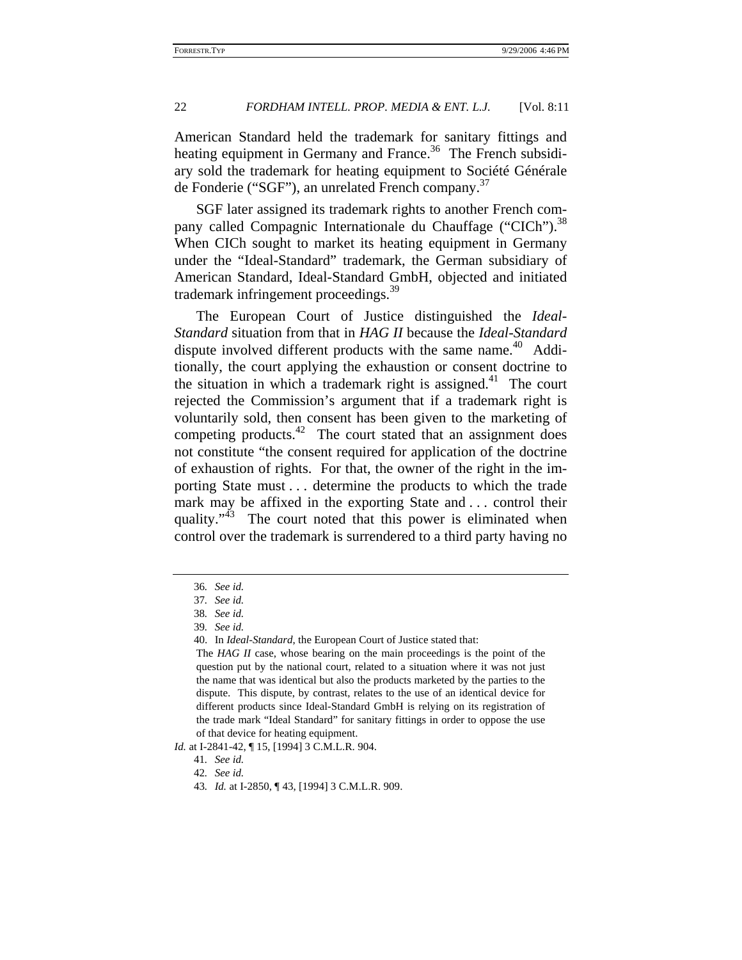American Standard held the trademark for sanitary fittings and heating equipment in Germany and France.<sup>36</sup> The French subsidiary sold the trademark for heating equipment to Société Générale de Fonderie ("SGF"), an unrelated French company.<sup>37</sup>

SGF later assigned its trademark rights to another French company called Compagnic Internationale du Chauffage ("CICh").<sup>38</sup> When CICh sought to market its heating equipment in Germany under the "Ideal-Standard" trademark, the German subsidiary of American Standard, Ideal-Standard GmbH, objected and initiated trademark infringement proceedings.<sup>39</sup>

The European Court of Justice distinguished the *Ideal-Standard* situation from that in *HAG II* because the *Ideal-Standard* dispute involved different products with the same name.<sup>40</sup> Additionally, the court applying the exhaustion or consent doctrine to the situation in which a trademark right is assigned.<sup>41</sup> The court rejected the Commission's argument that if a trademark right is voluntarily sold, then consent has been given to the marketing of competing products.<sup>42</sup> The court stated that an assignment does not constitute "the consent required for application of the doctrine of exhaustion of rights. For that, the owner of the right in the importing State must . . . determine the products to which the trade mark may be affixed in the exporting State and . . . control their quality." $43$  The court noted that this power is eliminated when control over the trademark is surrendered to a third party having no

*Id.* at I-2841-42,  $\P$  15, [1994] 3 C.M.L.R. 904.

<sup>36</sup>*. See id.*

<sup>37</sup>*. See id.*

<sup>38</sup>*. See id.*

<sup>39</sup>*. See id.*

<sup>40.</sup> In *Ideal-Standard*, the European Court of Justice stated that:

The *HAG II* case, whose bearing on the main proceedings is the point of the question put by the national court, related to a situation where it was not just the name that was identical but also the products marketed by the parties to the dispute. This dispute, by contrast, relates to the use of an identical device for different products since Ideal-Standard GmbH is relying on its registration of the trade mark "Ideal Standard" for sanitary fittings in order to oppose the use of that device for heating equipment.

<sup>41</sup>*. See id.*

<sup>42</sup>*. See id.*

<sup>43</sup>*. Id.* at I-2850, ¶ 43, [1994] 3 C.M.L.R. 909.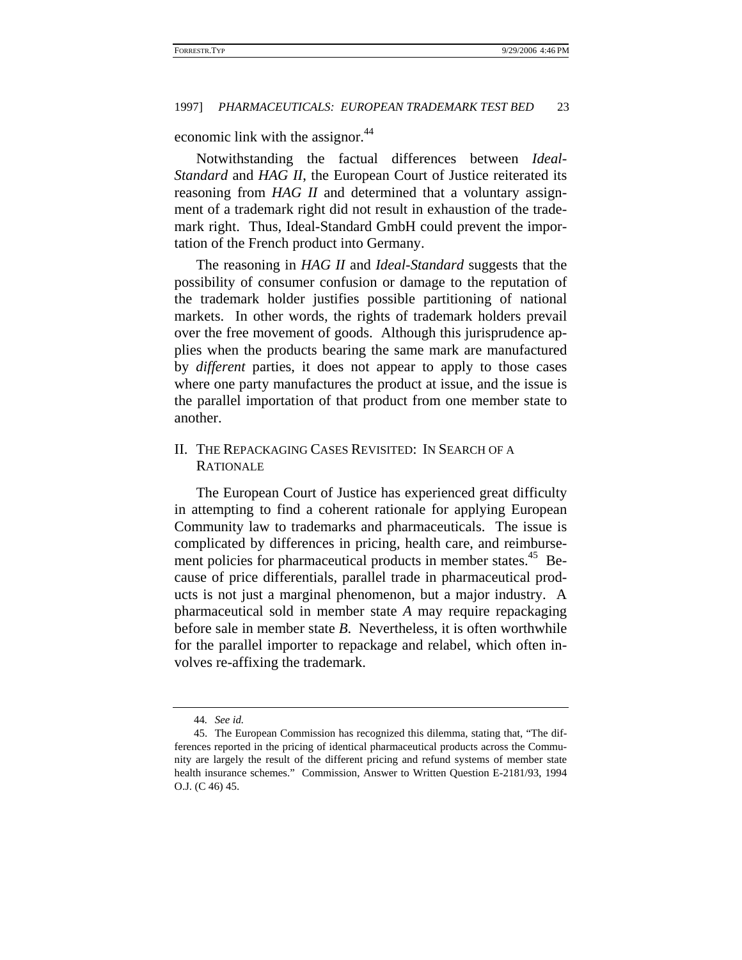economic link with the assignor.<sup>44</sup>

Notwithstanding the factual differences between *Ideal-Standard* and *HAG II*, the European Court of Justice reiterated its reasoning from *HAG II* and determined that a voluntary assignment of a trademark right did not result in exhaustion of the trademark right. Thus, Ideal-Standard GmbH could prevent the importation of the French product into Germany.

The reasoning in *HAG II* and *Ideal-Standard* suggests that the possibility of consumer confusion or damage to the reputation of the trademark holder justifies possible partitioning of national markets. In other words, the rights of trademark holders prevail over the free movement of goods. Although this jurisprudence applies when the products bearing the same mark are manufactured by *different* parties, it does not appear to apply to those cases where one party manufactures the product at issue, and the issue is the parallel importation of that product from one member state to another.

# II. THE REPACKAGING CASES REVISITED: IN SEARCH OF A RATIONALE

The European Court of Justice has experienced great difficulty in attempting to find a coherent rationale for applying European Community law to trademarks and pharmaceuticals. The issue is complicated by differences in pricing, health care, and reimbursement policies for pharmaceutical products in member states.<sup>45</sup> Because of price differentials, parallel trade in pharmaceutical products is not just a marginal phenomenon, but a major industry. A pharmaceutical sold in member state *A* may require repackaging before sale in member state *B*. Nevertheless, it is often worthwhile for the parallel importer to repackage and relabel, which often involves re-affixing the trademark.

<sup>44</sup>*. See id.*

<sup>45.</sup> The European Commission has recognized this dilemma, stating that, "The differences reported in the pricing of identical pharmaceutical products across the Community are largely the result of the different pricing and refund systems of member state health insurance schemes." Commission, Answer to Written Question E-2181/93, 1994 O.J. (C 46) 45.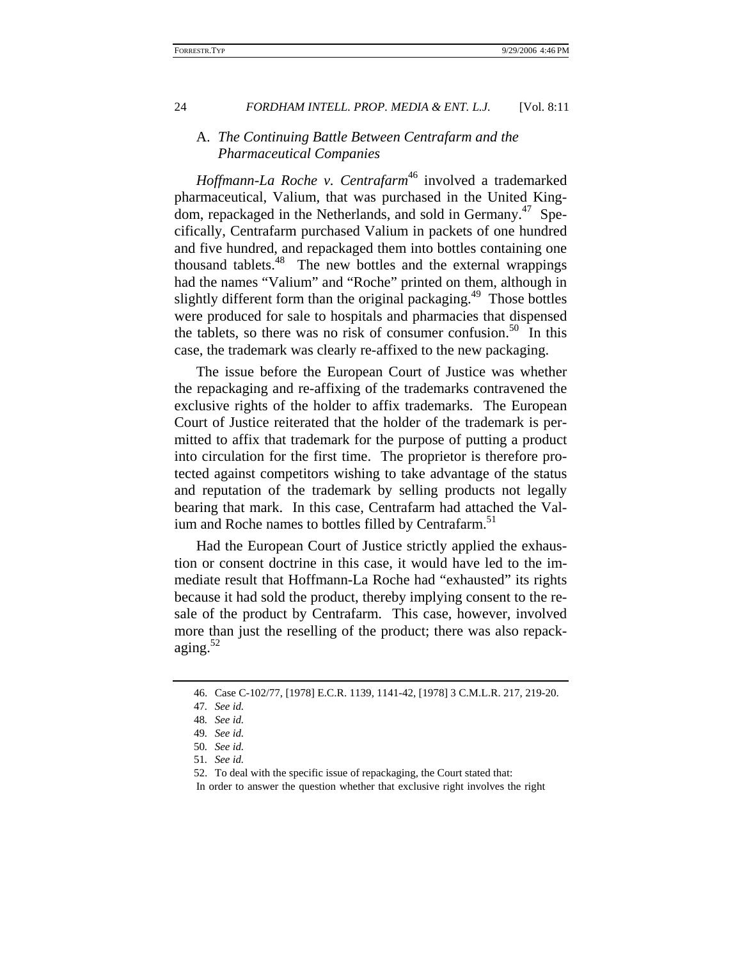## A. *The Continuing Battle Between Centrafarm and the Pharmaceutical Companies*

*Hoffmann-La Roche v. Centrafarm*<sup>46</sup> involved a trademarked pharmaceutical, Valium, that was purchased in the United Kingdom, repackaged in the Netherlands, and sold in Germany.<sup>47</sup> Specifically, Centrafarm purchased Valium in packets of one hundred and five hundred, and repackaged them into bottles containing one thousand tablets.48 The new bottles and the external wrappings had the names "Valium" and "Roche" printed on them, although in slightly different form than the original packaging.<sup>49</sup> Those bottles were produced for sale to hospitals and pharmacies that dispensed the tablets, so there was no risk of consumer confusion.<sup>50</sup> In this case, the trademark was clearly re-affixed to the new packaging.

The issue before the European Court of Justice was whether the repackaging and re-affixing of the trademarks contravened the exclusive rights of the holder to affix trademarks. The European Court of Justice reiterated that the holder of the trademark is permitted to affix that trademark for the purpose of putting a product into circulation for the first time. The proprietor is therefore protected against competitors wishing to take advantage of the status and reputation of the trademark by selling products not legally bearing that mark. In this case, Centrafarm had attached the Valium and Roche names to bottles filled by Centrafarm.<sup>51</sup>

Had the European Court of Justice strictly applied the exhaustion or consent doctrine in this case, it would have led to the immediate result that Hoffmann-La Roche had "exhausted" its rights because it had sold the product, thereby implying consent to the resale of the product by Centrafarm. This case, however, involved more than just the reselling of the product; there was also repackaging.<sup>52</sup>

In order to answer the question whether that exclusive right involves the right

<sup>46.</sup> Case C-102/77, [1978] E.C.R. 1139, 1141-42, [1978] 3 C.M.L.R. 217, 219-20.

<sup>47</sup>*. See id.*

<sup>48</sup>*. See id.*

<sup>49</sup>*. See id.*

<sup>50</sup>*. See id.*

<sup>51</sup>*. See id.*

<sup>52.</sup> To deal with the specific issue of repackaging, the Court stated that: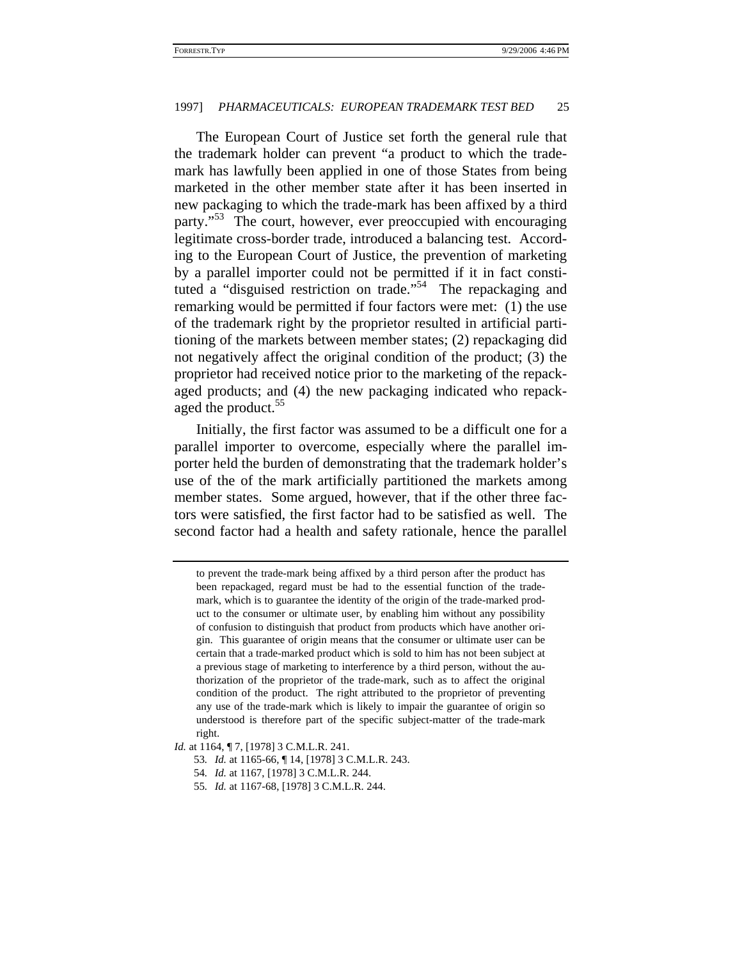The European Court of Justice set forth the general rule that the trademark holder can prevent "a product to which the trademark has lawfully been applied in one of those States from being marketed in the other member state after it has been inserted in new packaging to which the trade-mark has been affixed by a third party."<sup>53</sup> The court, however, ever preoccupied with encouraging legitimate cross-border trade, introduced a balancing test. According to the European Court of Justice, the prevention of marketing by a parallel importer could not be permitted if it in fact constituted a "disguised restriction on trade."<sup>54</sup> The repackaging and remarking would be permitted if four factors were met: (1) the use of the trademark right by the proprietor resulted in artificial partitioning of the markets between member states; (2) repackaging did not negatively affect the original condition of the product; (3) the proprietor had received notice prior to the marketing of the repackaged products; and (4) the new packaging indicated who repackaged the product.<sup>55</sup>

Initially, the first factor was assumed to be a difficult one for a parallel importer to overcome, especially where the parallel importer held the burden of demonstrating that the trademark holder's use of the of the mark artificially partitioned the markets among member states. Some argued, however, that if the other three factors were satisfied, the first factor had to be satisfied as well. The second factor had a health and safety rationale, hence the parallel

to prevent the trade-mark being affixed by a third person after the product has been repackaged, regard must be had to the essential function of the trademark, which is to guarantee the identity of the origin of the trade-marked product to the consumer or ultimate user, by enabling him without any possibility of confusion to distinguish that product from products which have another origin. This guarantee of origin means that the consumer or ultimate user can be certain that a trade-marked product which is sold to him has not been subject at a previous stage of marketing to interference by a third person, without the authorization of the proprietor of the trade-mark, such as to affect the original condition of the product. The right attributed to the proprietor of preventing any use of the trade-mark which is likely to impair the guarantee of origin so understood is therefore part of the specific subject-matter of the trade-mark right.

*Id.* at 1164,  $\P$  7, [1978] 3 C.M.L.R. 241.

<sup>53</sup>*. Id.* at 1165-66, ¶ 14, [1978] 3 C.M.L.R. 243.

<sup>54</sup>*. Id.* at 1167, [1978] 3 C.M.L.R. 244.

<sup>55</sup>*. Id.* at 1167-68, [1978] 3 C.M.L.R. 244.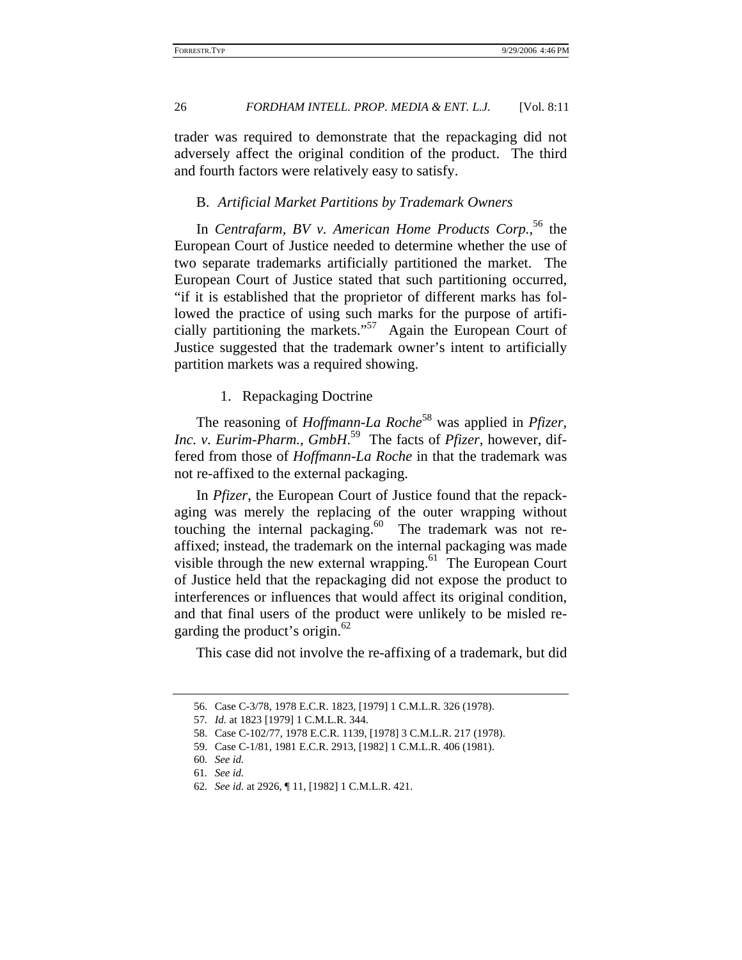trader was required to demonstrate that the repackaging did not adversely affect the original condition of the product. The third and fourth factors were relatively easy to satisfy.

# B. *Artificial Market Partitions by Trademark Owners*

In *Centrafarm, BV v. American Home Products Corp.*, 56 the European Court of Justice needed to determine whether the use of two separate trademarks artificially partitioned the market. The European Court of Justice stated that such partitioning occurred, "if it is established that the proprietor of different marks has followed the practice of using such marks for the purpose of artificially partitioning the markets."57 Again the European Court of Justice suggested that the trademark owner's intent to artificially partition markets was a required showing.

### 1. Repackaging Doctrine

The reasoning of *Hoffmann-La Roche*58 was applied in *Pfizer, Inc. v. Eurim-Pharm., GmbH*. 59 The facts of *Pfizer*, however, differed from those of *Hoffmann-La Roche* in that the trademark was not re-affixed to the external packaging.

In *Pfizer*, the European Court of Justice found that the repackaging was merely the replacing of the outer wrapping without touching the internal packaging.<sup>60</sup> The trademark was not reaffixed; instead, the trademark on the internal packaging was made visible through the new external wrapping.<sup>61</sup> The European Court of Justice held that the repackaging did not expose the product to interferences or influences that would affect its original condition, and that final users of the product were unlikely to be misled regarding the product's origin. $62$ 

This case did not involve the re-affixing of a trademark, but did

<sup>56.</sup> Case C-3/78, 1978 E.C.R. 1823, [1979] 1 C.M.L.R. 326 (1978).

<sup>57</sup>*. Id.* at 1823 [1979] 1 C.M.L.R. 344.

<sup>58.</sup> Case C-102/77, 1978 E.C.R. 1139, [1978] 3 C.M.L.R. 217 (1978).

<sup>59.</sup> Case C-1/81, 1981 E.C.R. 2913, [1982] 1 C.M.L.R. 406 (1981).

<sup>60</sup>*. See id.*

<sup>61</sup>*. See id.*

<sup>62</sup>*. See id.* at 2926, ¶ 11, [1982] 1 C.M.L.R. 421.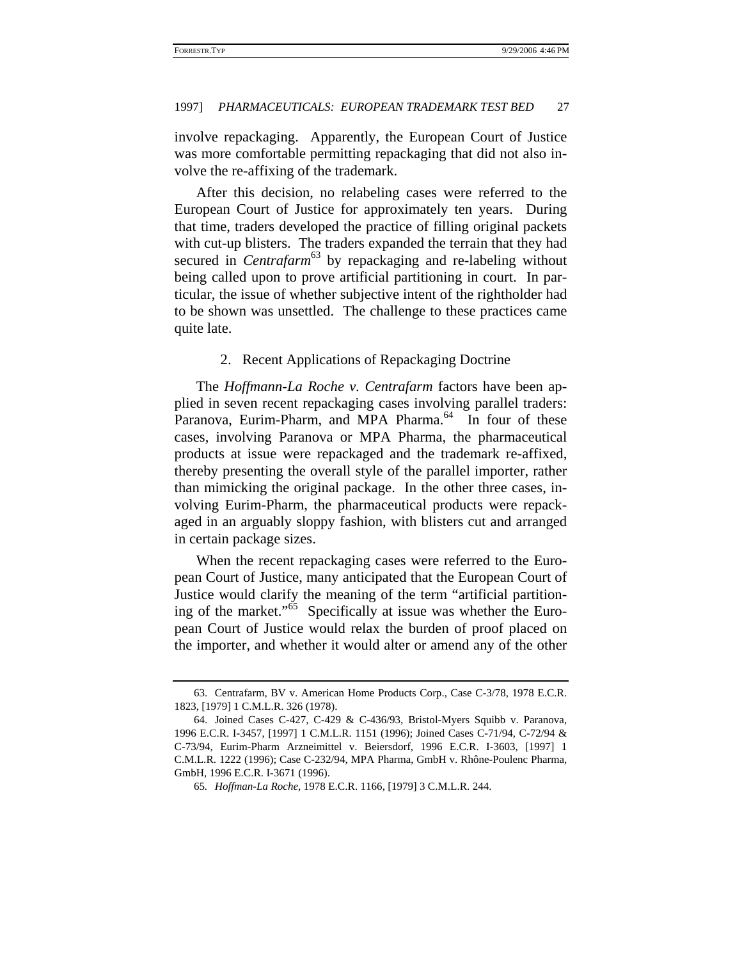involve repackaging. Apparently, the European Court of Justice was more comfortable permitting repackaging that did not also involve the re-affixing of the trademark.

After this decision, no relabeling cases were referred to the European Court of Justice for approximately ten years. During that time, traders developed the practice of filling original packets with cut-up blisters. The traders expanded the terrain that they had secured in *Centrafarm*<sup>63</sup> by repackaging and re-labeling without being called upon to prove artificial partitioning in court. In particular, the issue of whether subjective intent of the rightholder had to be shown was unsettled. The challenge to these practices came quite late.

### 2. Recent Applications of Repackaging Doctrine

The *Hoffmann-La Roche v. Centrafarm* factors have been applied in seven recent repackaging cases involving parallel traders: Paranova, Eurim-Pharm, and MPA Pharma.<sup>64</sup> In four of these cases, involving Paranova or MPA Pharma, the pharmaceutical products at issue were repackaged and the trademark re-affixed, thereby presenting the overall style of the parallel importer, rather than mimicking the original package. In the other three cases, involving Eurim-Pharm, the pharmaceutical products were repackaged in an arguably sloppy fashion, with blisters cut and arranged in certain package sizes.

When the recent repackaging cases were referred to the European Court of Justice, many anticipated that the European Court of Justice would clarify the meaning of the term "artificial partitioning of the market."<sup>65</sup> Specifically at issue was whether the European Court of Justice would relax the burden of proof placed on the importer, and whether it would alter or amend any of the other

<sup>63.</sup> Centrafarm, BV v. American Home Products Corp., Case C-3/78, 1978 E.C.R. 1823, [1979] 1 C.M.L.R. 326 (1978).

<sup>64.</sup> Joined Cases C-427, C-429 & C-436/93, Bristol-Myers Squibb v. Paranova, 1996 E.C.R. I-3457, [1997] 1 C.M.L.R. 1151 (1996); Joined Cases C-71/94, C-72/94 & C-73/94, Eurim-Pharm Arzneimittel v. Beiersdorf, 1996 E.C.R. I-3603, [1997] 1 C.M.L.R. 1222 (1996); Case C-232/94, MPA Pharma, GmbH v. Rhône-Poulenc Pharma, GmbH, 1996 E.C.R. I-3671 (1996).

<sup>65</sup>*. Hoffman-La Roche*, 1978 E.C.R. 1166, [1979] 3 C.M.L.R. 244.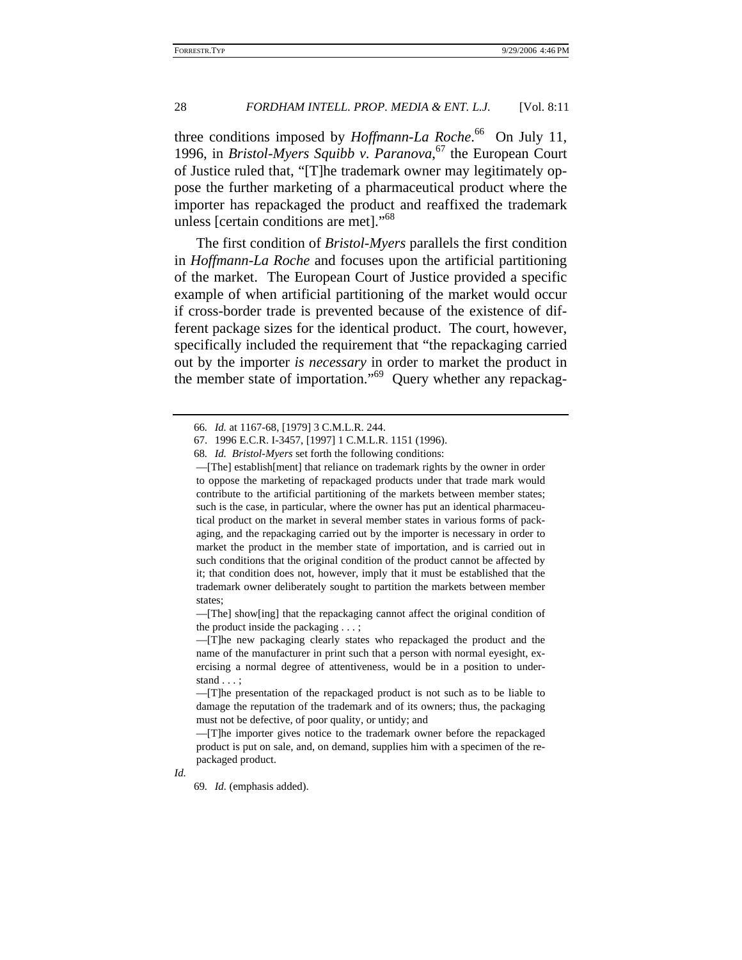three conditions imposed by *Hoffmann-La Roche*.<sup>66</sup> On July 11, 1996, in *Bristol-Myers Squibb v. Paranova*, 67 the European Court of Justice ruled that, "[T]he trademark owner may legitimately oppose the further marketing of a pharmaceutical product where the importer has repackaged the product and reaffixed the trademark unless [certain conditions are met]."<sup>68</sup>

The first condition of *Bristol-Myers* parallels the first condition in *Hoffmann-La Roche* and focuses upon the artificial partitioning of the market. The European Court of Justice provided a specific example of when artificial partitioning of the market would occur if cross-border trade is prevented because of the existence of different package sizes for the identical product. The court, however, specifically included the requirement that "the repackaging carried out by the importer *is necessary* in order to market the product in the member state of importation."<sup>69</sup> Query whether any repackag-

—[The] show[ing] that the repackaging cannot affect the original condition of the product inside the packaging . . . ;

—[T]he new packaging clearly states who repackaged the product and the name of the manufacturer in print such that a person with normal eyesight, exercising a normal degree of attentiveness, would be in a position to understand . . . ;

—[T]he presentation of the repackaged product is not such as to be liable to damage the reputation of the trademark and of its owners; thus, the packaging must not be defective, of poor quality, or untidy; and

—[T]he importer gives notice to the trademark owner before the repackaged product is put on sale, and, on demand, supplies him with a specimen of the repackaged product.

*Id.*

69*. Id.* (emphasis added).

<sup>66</sup>*. Id.* at 1167-68, [1979] 3 C.M.L.R. 244.

<sup>67. 1996</sup> E.C.R. I-3457, [1997] 1 C.M.L.R. 1151 (1996).

<sup>68</sup>*. Id. Bristol-Myers* set forth the following conditions:

<sup>—[</sup>The] establish[ment] that reliance on trademark rights by the owner in order to oppose the marketing of repackaged products under that trade mark would contribute to the artificial partitioning of the markets between member states; such is the case, in particular, where the owner has put an identical pharmaceutical product on the market in several member states in various forms of packaging, and the repackaging carried out by the importer is necessary in order to market the product in the member state of importation, and is carried out in such conditions that the original condition of the product cannot be affected by it; that condition does not, however, imply that it must be established that the trademark owner deliberately sought to partition the markets between member states;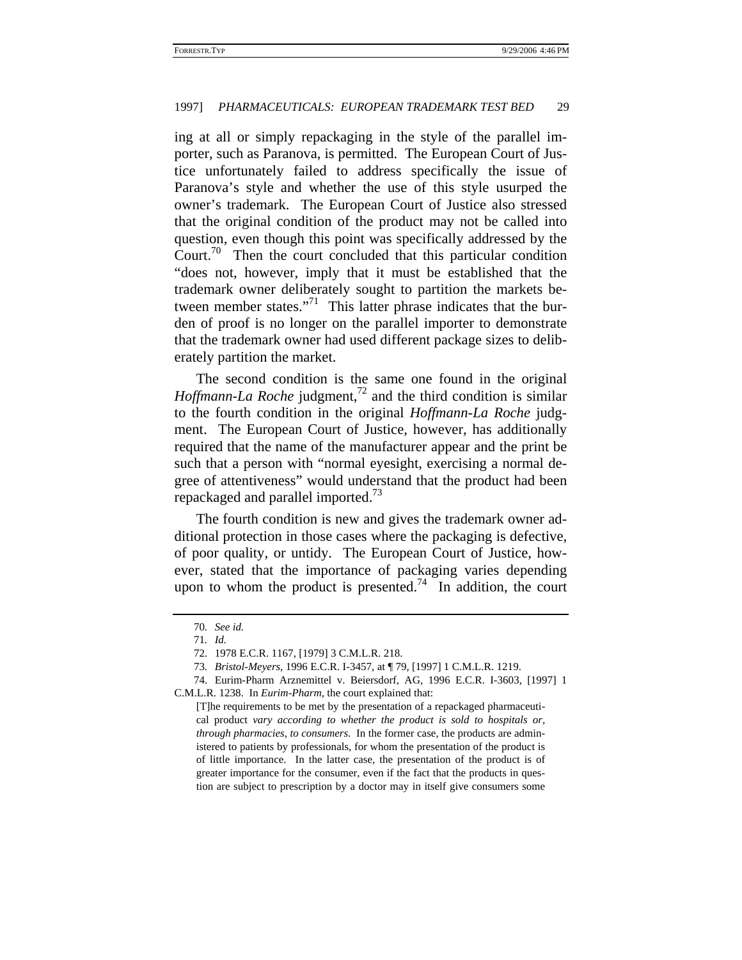ing at all or simply repackaging in the style of the parallel importer, such as Paranova, is permitted. The European Court of Justice unfortunately failed to address specifically the issue of Paranova's style and whether the use of this style usurped the owner's trademark. The European Court of Justice also stressed that the original condition of the product may not be called into question, even though this point was specifically addressed by the Court.<sup>70</sup> Then the court concluded that this particular condition "does not, however, imply that it must be established that the trademark owner deliberately sought to partition the markets between member states."<sup>71</sup> This latter phrase indicates that the burden of proof is no longer on the parallel importer to demonstrate that the trademark owner had used different package sizes to deliberately partition the market.

The second condition is the same one found in the original *Hoffmann-La Roche* judgment,<sup>72</sup> and the third condition is similar to the fourth condition in the original *Hoffmann-La Roche* judgment. The European Court of Justice, however, has additionally required that the name of the manufacturer appear and the print be such that a person with "normal eyesight, exercising a normal degree of attentiveness" would understand that the product had been repackaged and parallel imported.<sup>13</sup>

The fourth condition is new and gives the trademark owner additional protection in those cases where the packaging is defective, of poor quality, or untidy. The European Court of Justice, however, stated that the importance of packaging varies depending upon to whom the product is presented.<sup>74</sup> In addition, the court

<sup>70</sup>*. See id.*

<sup>71</sup>*. Id.*

<sup>72. 1978</sup> E.C.R. 1167, [1979] 3 C.M.L.R. 218.

<sup>73</sup>*. Bristol-Meyers*, 1996 E.C.R. I-3457, at ¶ 79, [1997] 1 C.M.L.R. 1219.

<sup>74.</sup> Eurim-Pharm Arznemittel v. Beiersdorf, AG, 1996 E.C.R. I-3603, [1997] 1 C.M.L.R. 1238. In *Eurim-Pharm*, the court explained that:

<sup>[</sup>T]he requirements to be met by the presentation of a repackaged pharmaceutical product *vary according to whether the product is sold to hospitals or, through pharmacies, to consumers*. In the former case, the products are administered to patients by professionals, for whom the presentation of the product is of little importance. In the latter case, the presentation of the product is of greater importance for the consumer, even if the fact that the products in question are subject to prescription by a doctor may in itself give consumers some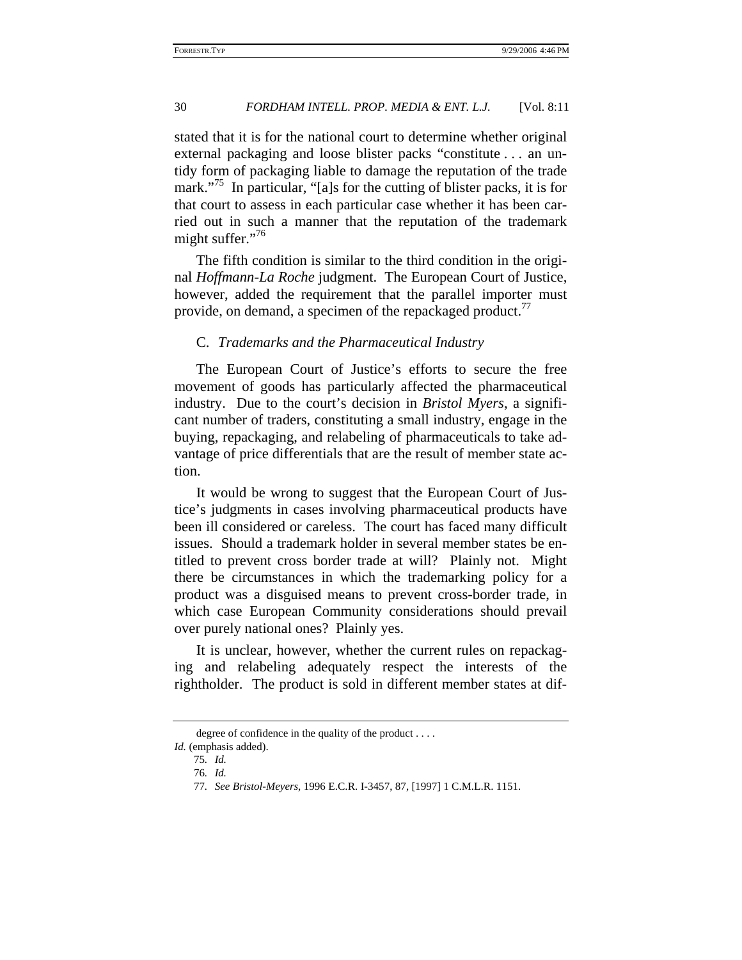stated that it is for the national court to determine whether original external packaging and loose blister packs "constitute . . . an untidy form of packaging liable to damage the reputation of the trade mark."<sup>75</sup> In particular, "[a]s for the cutting of blister packs, it is for that court to assess in each particular case whether it has been carried out in such a manner that the reputation of the trademark might suffer." $16$ 

The fifth condition is similar to the third condition in the original *Hoffmann-La Roche* judgment. The European Court of Justice, however, added the requirement that the parallel importer must provide, on demand, a specimen of the repackaged product.<sup>17</sup>

### C. *Trademarks and the Pharmaceutical Industry*

The European Court of Justice's efforts to secure the free movement of goods has particularly affected the pharmaceutical industry. Due to the court's decision in *Bristol Myers*, a significant number of traders, constituting a small industry, engage in the buying, repackaging, and relabeling of pharmaceuticals to take advantage of price differentials that are the result of member state action.

It would be wrong to suggest that the European Court of Justice's judgments in cases involving pharmaceutical products have been ill considered or careless. The court has faced many difficult issues. Should a trademark holder in several member states be entitled to prevent cross border trade at will? Plainly not. Might there be circumstances in which the trademarking policy for a product was a disguised means to prevent cross-border trade, in which case European Community considerations should prevail over purely national ones? Plainly yes.

It is unclear, however, whether the current rules on repackaging and relabeling adequately respect the interests of the rightholder. The product is sold in different member states at dif-

degree of confidence in the quality of the product . . . .

*Id.* (emphasis added).

<sup>75</sup>*. Id.*

<sup>76</sup>*. Id.*

<sup>77</sup>*. See Bristol-Meyers*, 1996 E.C.R. I-3457, 87, [1997] 1 C.M.L.R. 1151.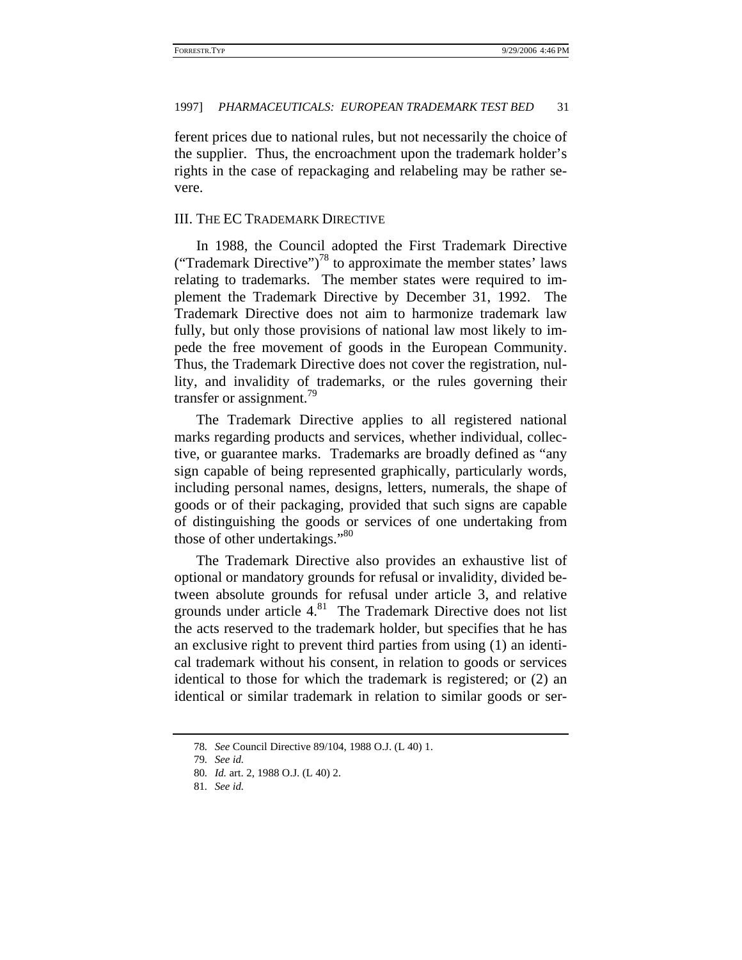ferent prices due to national rules, but not necessarily the choice of the supplier. Thus, the encroachment upon the trademark holder's rights in the case of repackaging and relabeling may be rather severe.

# III. THE EC TRADEMARK DIRECTIVE

In 1988, the Council adopted the First Trademark Directive ("Trademark Directive")<sup>78</sup> to approximate the member states' laws relating to trademarks. The member states were required to implement the Trademark Directive by December 31, 1992. The Trademark Directive does not aim to harmonize trademark law fully, but only those provisions of national law most likely to impede the free movement of goods in the European Community. Thus, the Trademark Directive does not cover the registration, nullity, and invalidity of trademarks, or the rules governing their transfer or assignment.<sup>79</sup>

The Trademark Directive applies to all registered national marks regarding products and services, whether individual, collective, or guarantee marks. Trademarks are broadly defined as "any sign capable of being represented graphically, particularly words, including personal names, designs, letters, numerals, the shape of goods or of their packaging, provided that such signs are capable of distinguishing the goods or services of one undertaking from those of other undertakings."<sup>80</sup>

The Trademark Directive also provides an exhaustive list of optional or mandatory grounds for refusal or invalidity, divided between absolute grounds for refusal under article 3, and relative grounds under article  $4.81$  The Trademark Directive does not list the acts reserved to the trademark holder, but specifies that he has an exclusive right to prevent third parties from using (1) an identical trademark without his consent, in relation to goods or services identical to those for which the trademark is registered; or (2) an identical or similar trademark in relation to similar goods or ser-

<sup>78</sup>*. See* Council Directive 89/104, 1988 O.J. (L 40) 1.

<sup>79</sup>*. See id.*

<sup>80</sup>*. Id.* art. 2, 1988 O.J. (L 40) 2.

<sup>81</sup>*. See id.*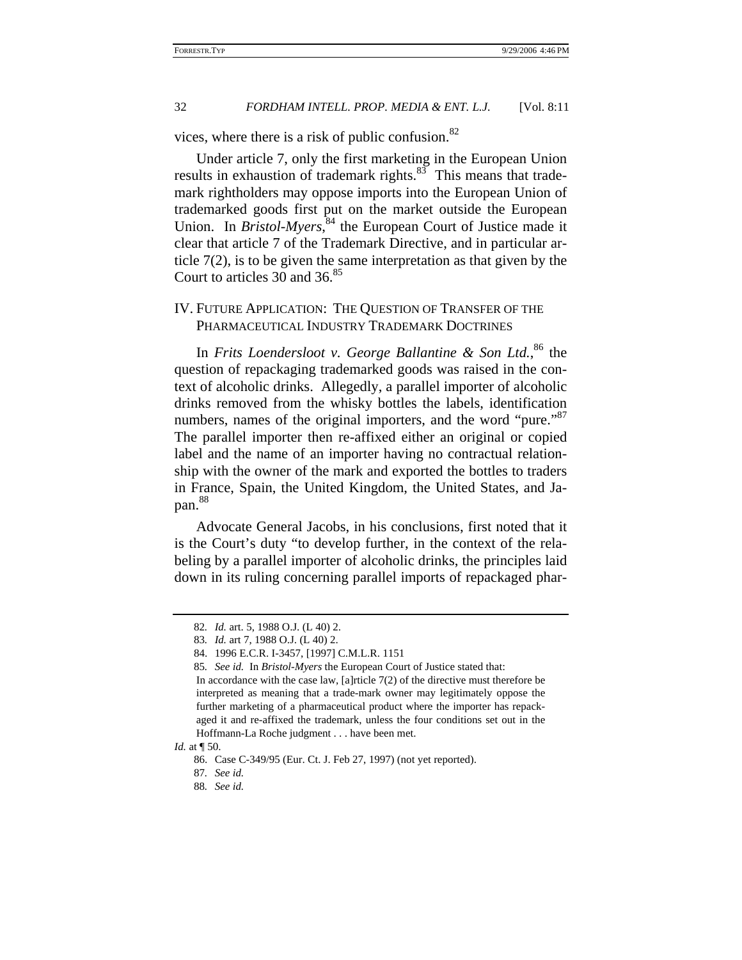vices, where there is a risk of public confusion. $82$ 

Under article 7, only the first marketing in the European Union results in exhaustion of trademark rights. $83\overline{3}$  This means that trademark rightholders may oppose imports into the European Union of trademarked goods first put on the market outside the European Union. In *Bristol-Myers*,<sup>84</sup> the European Court of Justice made it clear that article 7 of the Trademark Directive, and in particular article  $7(2)$ , is to be given the same interpretation as that given by the Court to articles 30 and  $36.85$ 

# IV. FUTURE APPLICATION: THE QUESTION OF TRANSFER OF THE PHARMACEUTICAL INDUSTRY TRADEMARK DOCTRINES

In *Frits Loendersloot v. George Ballantine & Son Ltd.*, 86 the question of repackaging trademarked goods was raised in the context of alcoholic drinks. Allegedly, a parallel importer of alcoholic drinks removed from the whisky bottles the labels, identification numbers, names of the original importers, and the word "pure."<sup>87</sup> The parallel importer then re-affixed either an original or copied label and the name of an importer having no contractual relationship with the owner of the mark and exported the bottles to traders in France, Spain, the United Kingdom, the United States, and Japan.<sup>88</sup>

Advocate General Jacobs, in his conclusions, first noted that it is the Court's duty "to develop further, in the context of the relabeling by a parallel importer of alcoholic drinks, the principles laid down in its ruling concerning parallel imports of repackaged phar-

<sup>82</sup>*. Id.* art. 5, 1988 O.J. (L 40) 2.

<sup>83</sup>*. Id.* art 7, 1988 O.J. (L 40) 2.

<sup>84. 1996</sup> E.C.R. I-3457, [1997] C.M.L.R. 1151

<sup>85</sup>*. See id.* In *Bristol-Myers* the European Court of Justice stated that:

In accordance with the case law, [a]rticle 7(2) of the directive must therefore be interpreted as meaning that a trade-mark owner may legitimately oppose the further marketing of a pharmaceutical product where the importer has repackaged it and re-affixed the trademark, unless the four conditions set out in the Hoffmann-La Roche judgment . . . have been met.

*Id.* at  $\P$  50.

<sup>86.</sup> Case C-349/95 (Eur. Ct. J. Feb 27, 1997) (not yet reported).

<sup>87</sup>*. See id.*

<sup>88</sup>*. See id.*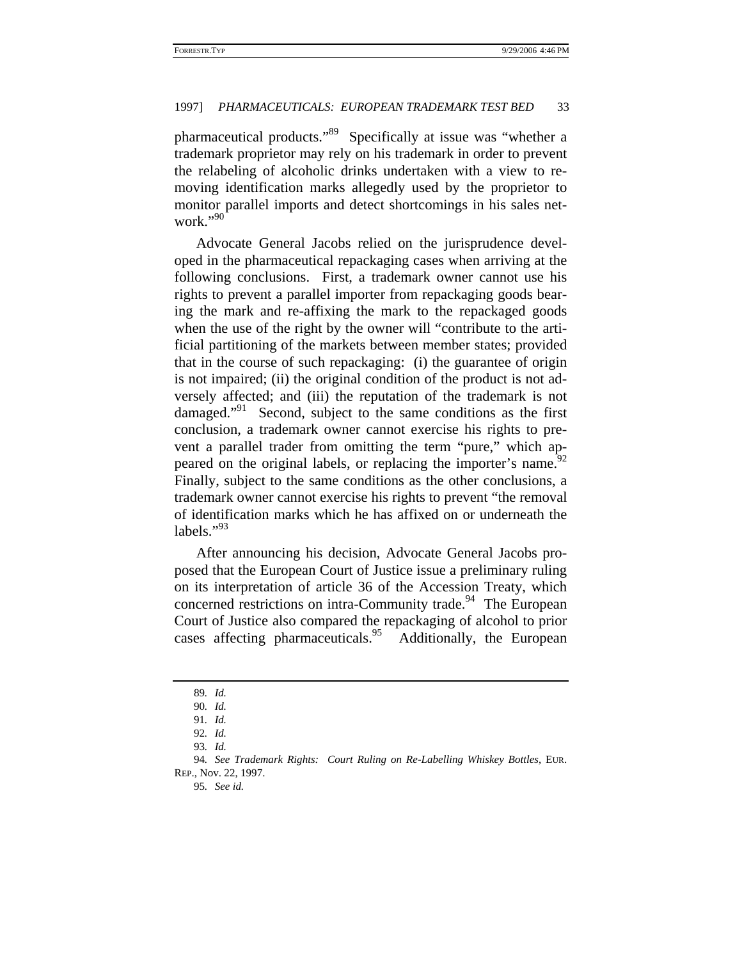pharmaceutical products."89 Specifically at issue was "whether a trademark proprietor may rely on his trademark in order to prevent the relabeling of alcoholic drinks undertaken with a view to removing identification marks allegedly used by the proprietor to monitor parallel imports and detect shortcomings in his sales network."90

Advocate General Jacobs relied on the jurisprudence developed in the pharmaceutical repackaging cases when arriving at the following conclusions. First, a trademark owner cannot use his rights to prevent a parallel importer from repackaging goods bearing the mark and re-affixing the mark to the repackaged goods when the use of the right by the owner will "contribute to the artificial partitioning of the markets between member states; provided that in the course of such repackaging: (i) the guarantee of origin is not impaired; (ii) the original condition of the product is not adversely affected; and (iii) the reputation of the trademark is not damaged."<sup>91</sup> Second, subject to the same conditions as the first conclusion, a trademark owner cannot exercise his rights to prevent a parallel trader from omitting the term "pure," which appeared on the original labels, or replacing the importer's name.<sup>92</sup> Finally, subject to the same conditions as the other conclusions, a trademark owner cannot exercise his rights to prevent "the removal of identification marks which he has affixed on or underneath the labels." $^{93}$ 

After announcing his decision, Advocate General Jacobs proposed that the European Court of Justice issue a preliminary ruling on its interpretation of article 36 of the Accession Treaty, which concerned restrictions on intra-Community trade.<sup>94</sup> The European Court of Justice also compared the repackaging of alcohol to prior cases affecting pharmaceuticals.<sup>95</sup> Additionally, the European

95*. See id.*

<sup>89</sup>*. Id.*

<sup>90</sup>*. Id.*

<sup>91</sup>*. Id.*

<sup>92</sup>*. Id.*

<sup>93</sup>*. Id.*

<sup>94</sup>*. See Trademark Rights: Court Ruling on Re-Labelling Whiskey Bottles*, EUR. REP., Nov. 22, 1997.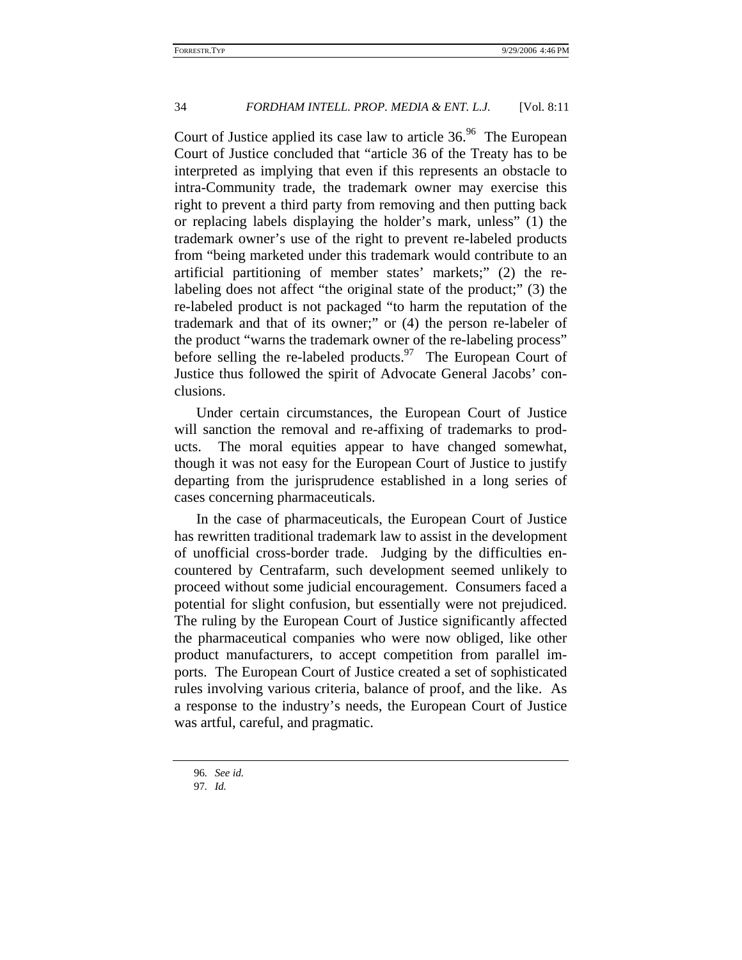Court of Justice applied its case law to article  $36.96$  The European Court of Justice concluded that "article 36 of the Treaty has to be interpreted as implying that even if this represents an obstacle to intra-Community trade, the trademark owner may exercise this right to prevent a third party from removing and then putting back or replacing labels displaying the holder's mark, unless" (1) the trademark owner's use of the right to prevent re-labeled products from "being marketed under this trademark would contribute to an artificial partitioning of member states' markets;" (2) the relabeling does not affect "the original state of the product;" (3) the re-labeled product is not packaged "to harm the reputation of the trademark and that of its owner;" or (4) the person re-labeler of the product "warns the trademark owner of the re-labeling process" before selling the re-labeled products. The European Court of Justice thus followed the spirit of Advocate General Jacobs' conclusions.

Under certain circumstances, the European Court of Justice will sanction the removal and re-affixing of trademarks to products. The moral equities appear to have changed somewhat, though it was not easy for the European Court of Justice to justify departing from the jurisprudence established in a long series of cases concerning pharmaceuticals.

In the case of pharmaceuticals, the European Court of Justice has rewritten traditional trademark law to assist in the development of unofficial cross-border trade. Judging by the difficulties encountered by Centrafarm, such development seemed unlikely to proceed without some judicial encouragement. Consumers faced a potential for slight confusion, but essentially were not prejudiced. The ruling by the European Court of Justice significantly affected the pharmaceutical companies who were now obliged, like other product manufacturers, to accept competition from parallel imports. The European Court of Justice created a set of sophisticated rules involving various criteria, balance of proof, and the like. As a response to the industry's needs, the European Court of Justice was artful, careful, and pragmatic.

<sup>96</sup>*. See id.*

<sup>97</sup>*. Id.*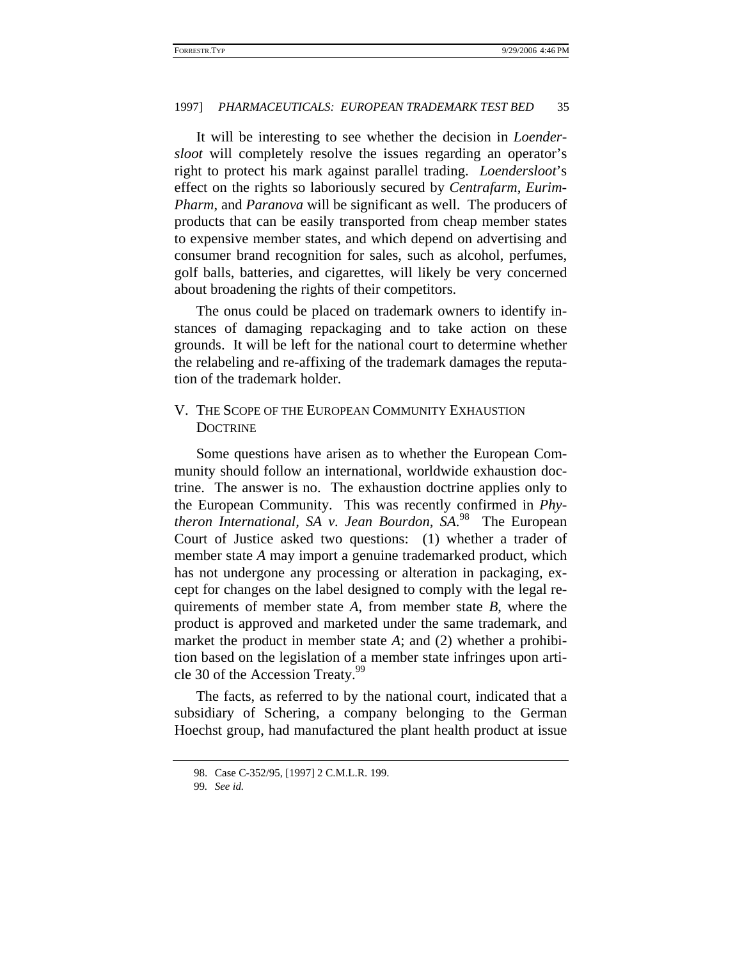It will be interesting to see whether the decision in *Loendersloot* will completely resolve the issues regarding an operator's right to protect his mark against parallel trading. *Loendersloot*'s effect on the rights so laboriously secured by *Centrafarm*, *Eurim-Pharm*, and *Paranova* will be significant as well. The producers of products that can be easily transported from cheap member states to expensive member states, and which depend on advertising and consumer brand recognition for sales, such as alcohol, perfumes, golf balls, batteries, and cigarettes, will likely be very concerned about broadening the rights of their competitors.

The onus could be placed on trademark owners to identify instances of damaging repackaging and to take action on these grounds. It will be left for the national court to determine whether the relabeling and re-affixing of the trademark damages the reputation of the trademark holder.

# V. THE SCOPE OF THE EUROPEAN COMMUNITY EXHAUSTION **DOCTRINE**

Some questions have arisen as to whether the European Community should follow an international, worldwide exhaustion doctrine. The answer is no. The exhaustion doctrine applies only to the European Community. This was recently confirmed in *Phytheron International, SA v. Jean Bourdon, SA*. 98 The European Court of Justice asked two questions: (1) whether a trader of member state *A* may import a genuine trademarked product, which has not undergone any processing or alteration in packaging, except for changes on the label designed to comply with the legal requirements of member state *A*, from member state *B*, where the product is approved and marketed under the same trademark, and market the product in member state *A*; and (2) whether a prohibition based on the legislation of a member state infringes upon article 30 of the Accession Treaty.<sup>99</sup>

The facts, as referred to by the national court, indicated that a subsidiary of Schering, a company belonging to the German Hoechst group, had manufactured the plant health product at issue

<sup>98.</sup> Case C-352/95, [1997] 2 C.M.L.R. 199.

<sup>99</sup>*. See id.*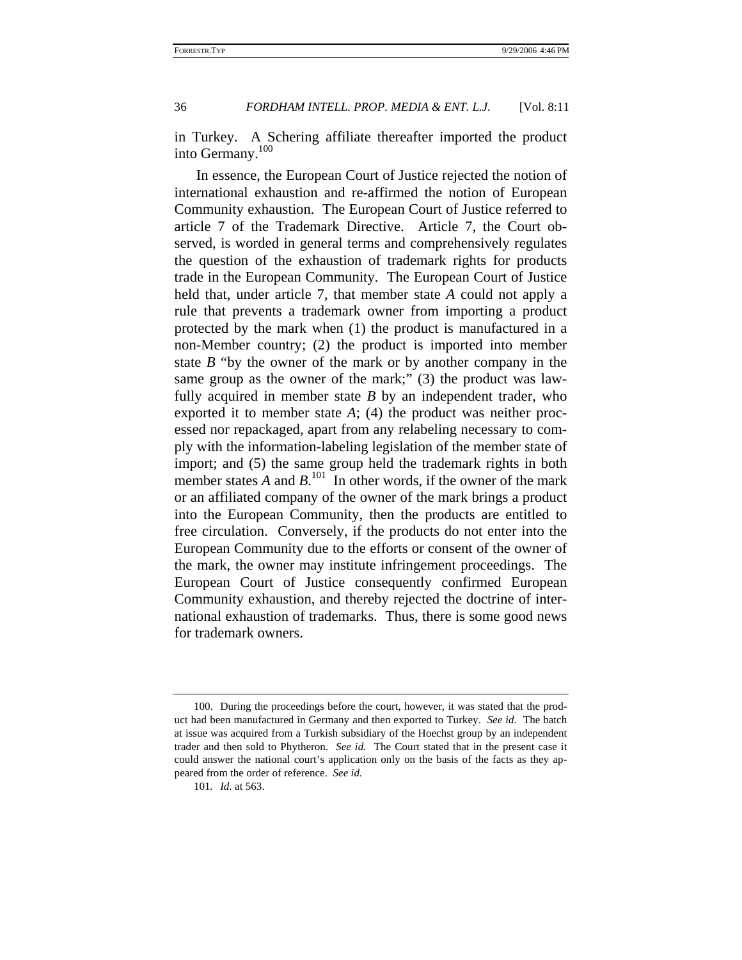in Turkey. A Schering affiliate thereafter imported the product into Germany.100

In essence, the European Court of Justice rejected the notion of international exhaustion and re-affirmed the notion of European Community exhaustion. The European Court of Justice referred to article 7 of the Trademark Directive. Article 7, the Court observed, is worded in general terms and comprehensively regulates the question of the exhaustion of trademark rights for products trade in the European Community. The European Court of Justice held that, under article 7, that member state *A* could not apply a rule that prevents a trademark owner from importing a product protected by the mark when (1) the product is manufactured in a non-Member country; (2) the product is imported into member state *B* "by the owner of the mark or by another company in the same group as the owner of the mark;" (3) the product was lawfully acquired in member state *B* by an independent trader, who exported it to member state *A*; (4) the product was neither processed nor repackaged, apart from any relabeling necessary to comply with the information-labeling legislation of the member state of import; and (5) the same group held the trademark rights in both member states  $A$  and  $B$ .<sup>101</sup> In other words, if the owner of the mark or an affiliated company of the owner of the mark brings a product into the European Community, then the products are entitled to free circulation. Conversely, if the products do not enter into the European Community due to the efforts or consent of the owner of the mark, the owner may institute infringement proceedings. The European Court of Justice consequently confirmed European Community exhaustion, and thereby rejected the doctrine of international exhaustion of trademarks. Thus, there is some good news for trademark owners.

<sup>100.</sup> During the proceedings before the court, however, it was stated that the product had been manufactured in Germany and then exported to Turkey. *See id.* The batch at issue was acquired from a Turkish subsidiary of the Hoechst group by an independent trader and then sold to Phytheron. *See id.* The Court stated that in the present case it could answer the national court's application only on the basis of the facts as they appeared from the order of reference. *See id.*

<sup>101</sup>*. Id.* at 563.